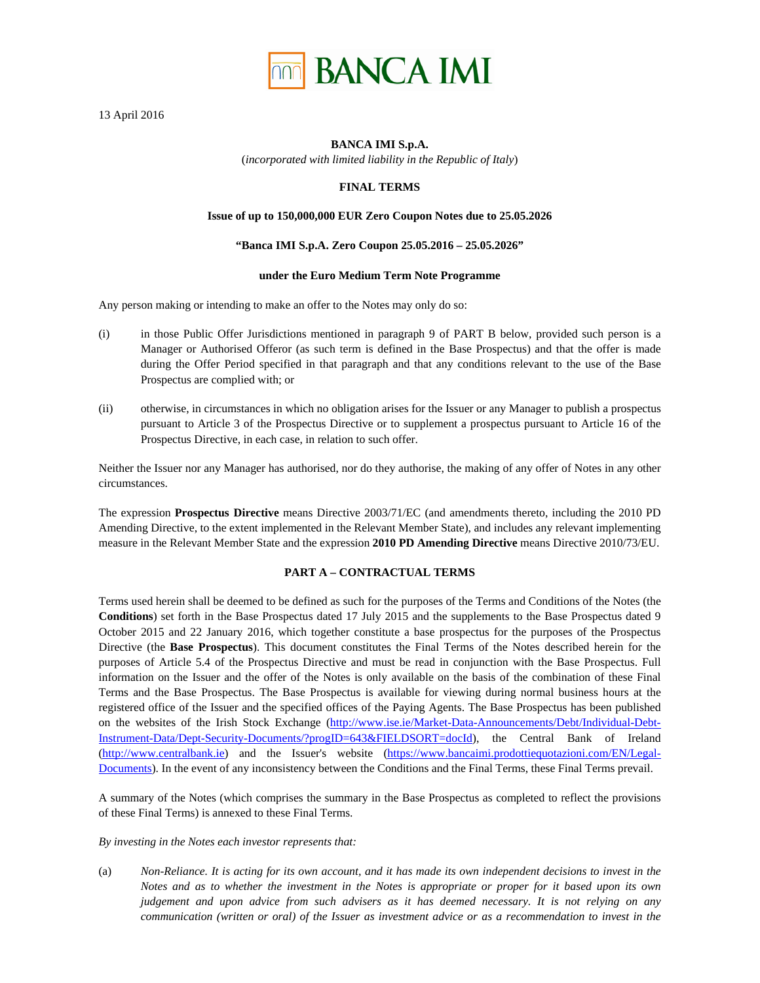

13 April 2016

### **BANCA IMI S.p.A.**

(*incorporated with limited liability in the Republic of Italy*)

# **FINAL TERMS**

## **Issue of up to 150,000,000 EUR Zero Coupon Notes due to 25.05.2026**

### **"Banca IMI S.p.A. Zero Coupon 25.05.2016 – 25.05.2026"**

### **under the Euro Medium Term Note Programme**

Any person making or intending to make an offer to the Notes may only do so:

- (i) in those Public Offer Jurisdictions mentioned in paragraph 9 of PART B below, provided such person is a Manager or Authorised Offeror (as such term is defined in the Base Prospectus) and that the offer is made during the Offer Period specified in that paragraph and that any conditions relevant to the use of the Base Prospectus are complied with; or
- (ii) otherwise, in circumstances in which no obligation arises for the Issuer or any Manager to publish a prospectus pursuant to Article 3 of the Prospectus Directive or to supplement a prospectus pursuant to Article 16 of the Prospectus Directive, in each case, in relation to such offer.

Neither the Issuer nor any Manager has authorised, nor do they authorise, the making of any offer of Notes in any other circumstances.

The expression **Prospectus Directive** means Directive 2003/71/EC (and amendments thereto, including the 2010 PD Amending Directive, to the extent implemented in the Relevant Member State), and includes any relevant implementing measure in the Relevant Member State and the expression **2010 PD Amending Directive** means Directive 2010/73/EU.

# **PART A – CONTRACTUAL TERMS**

Terms used herein shall be deemed to be defined as such for the purposes of the Terms and Conditions of the Notes (the **Conditions**) set forth in the Base Prospectus dated 17 July 2015 and the supplements to the Base Prospectus dated 9 October 2015 and 22 January 2016, which together constitute a base prospectus for the purposes of the Prospectus Directive (the **Base Prospectus**). This document constitutes the Final Terms of the Notes described herein for the purposes of Article 5.4 of the Prospectus Directive and must be read in conjunction with the Base Prospectus. Full information on the Issuer and the offer of the Notes is only available on the basis of the combination of these Final Terms and the Base Prospectus. The Base Prospectus is available for viewing during normal business hours at the registered office of the Issuer and the specified offices of the Paying Agents. The Base Prospectus has been published on the websites of the Irish Stock Exchange (http://www.ise.ie/Market-Data-Announcements/Debt/Individual-Debt-Instrument-Data/Dept-Security-Documents/?progID=643&FIELDSORT=docId), the Central Bank of Ireland (http://www.centralbank.ie) and the Issuer's website (https://www.bancaimi.prodottiequotazioni.com/EN/Legal-Documents). In the event of any inconsistency between the Conditions and the Final Terms, these Final Terms prevail.

A summary of the Notes (which comprises the summary in the Base Prospectus as completed to reflect the provisions of these Final Terms) is annexed to these Final Terms.

*By investing in the Notes each investor represents that:* 

(a) *Non-Reliance. It is acting for its own account, and it has made its own independent decisions to invest in the Notes and as to whether the investment in the Notes is appropriate or proper for it based upon its own judgement and upon advice from such advisers as it has deemed necessary. It is not relying on any communication (written or oral) of the Issuer as investment advice or as a recommendation to invest in the*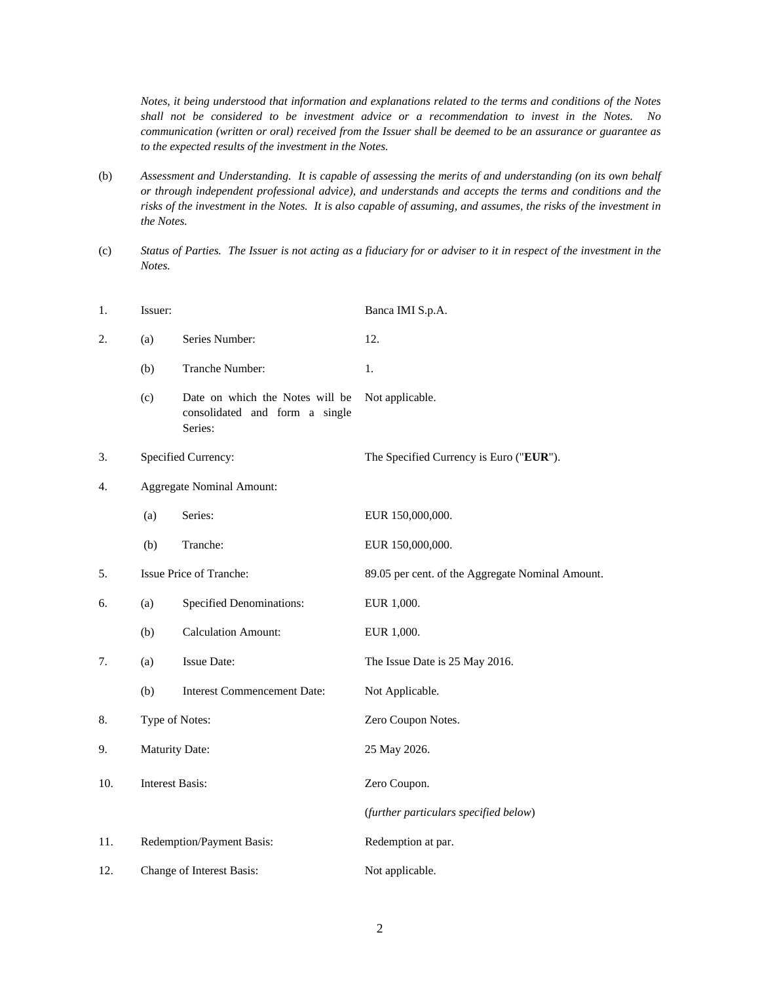*Notes, it being understood that information and explanations related to the terms and conditions of the Notes shall not be considered to be investment advice or a recommendation to invest in the Notes. No communication (written or oral) received from the Issuer shall be deemed to be an assurance or guarantee as to the expected results of the investment in the Notes.* 

- (b) *Assessment and Understanding. It is capable of assessing the merits of and understanding (on its own behalf or through independent professional advice), and understands and accepts the terms and conditions and the risks of the investment in the Notes. It is also capable of assuming, and assumes, the risks of the investment in the Notes.*
- (c) *Status of Parties. The Issuer is not acting as a fiduciary for or adviser to it in respect of the investment in the Notes.*

| 1.  | Issuer:                |                                                                              | Banca IMI S.p.A.                                 |
|-----|------------------------|------------------------------------------------------------------------------|--------------------------------------------------|
| 2.  | (a)                    | Series Number:                                                               | 12.                                              |
|     | (b)                    | Tranche Number:                                                              | 1.                                               |
|     | (c)                    | Date on which the Notes will be<br>consolidated and form a single<br>Series: | Not applicable.                                  |
| 3.  |                        | Specified Currency:                                                          | The Specified Currency is Euro ("EUR").          |
| 4.  |                        | <b>Aggregate Nominal Amount:</b>                                             |                                                  |
|     | (a)                    | Series:                                                                      | EUR 150,000,000.                                 |
|     | (b)                    | Tranche:                                                                     | EUR 150,000,000.                                 |
| 5.  |                        | Issue Price of Tranche:                                                      | 89.05 per cent. of the Aggregate Nominal Amount. |
| 6.  | (a)                    | <b>Specified Denominations:</b>                                              | EUR 1,000.                                       |
|     | (b)                    | <b>Calculation Amount:</b>                                                   | EUR 1,000.                                       |
| 7.  | (a)                    | <b>Issue Date:</b>                                                           | The Issue Date is 25 May 2016.                   |
|     | (b)                    | <b>Interest Commencement Date:</b>                                           | Not Applicable.                                  |
| 8.  | Type of Notes:         |                                                                              | Zero Coupon Notes.                               |
| 9.  | Maturity Date:         |                                                                              | 25 May 2026.                                     |
| 10. | <b>Interest Basis:</b> |                                                                              | Zero Coupon.                                     |
|     |                        |                                                                              | (further particulars specified below)            |
| 11. |                        | Redemption/Payment Basis:                                                    | Redemption at par.                               |
| 12. |                        | Change of Interest Basis:                                                    | Not applicable.                                  |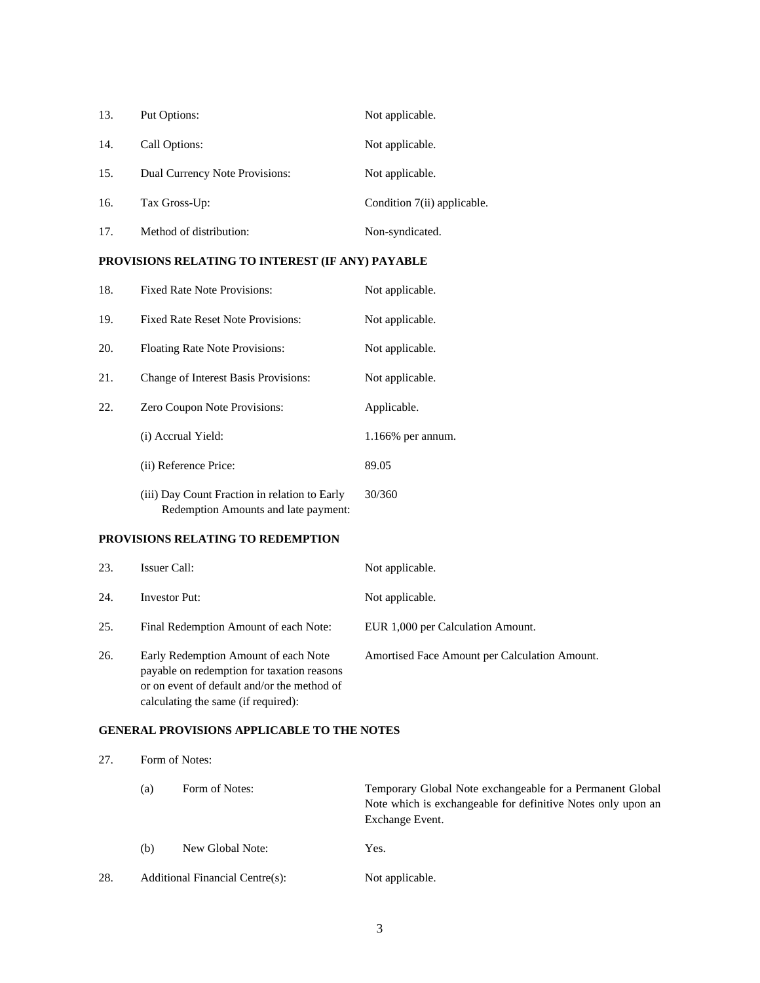| 13. | Put Options:                   | Not applicable.             |
|-----|--------------------------------|-----------------------------|
| 14. | Call Options:                  | Not applicable.             |
| 15. | Dual Currency Note Provisions: | Not applicable.             |
| 16. | Tax Gross-Up:                  | Condition 7(ii) applicable. |
| 17. | Method of distribution:        | Non-syndicated.             |

# **PROVISIONS RELATING TO INTEREST (IF ANY) PAYABLE**

| 18. | <b>Fixed Rate Note Provisions:</b>                                                    | Not applicable.   |
|-----|---------------------------------------------------------------------------------------|-------------------|
| 19. | <b>Fixed Rate Reset Note Provisions:</b>                                              | Not applicable.   |
| 20. | <b>Floating Rate Note Provisions:</b>                                                 | Not applicable.   |
| 21. | Change of Interest Basis Provisions:                                                  | Not applicable.   |
| 22. | Zero Coupon Note Provisions:                                                          | Applicable.       |
|     | (i) Accrual Yield:                                                                    | 1.166% per annum. |
|     | (ii) Reference Price:                                                                 | 89.05             |
|     | (iii) Day Count Fraction in relation to Early<br>Redemption Amounts and late payment: | 30/360            |

## **PROVISIONS RELATING TO REDEMPTION**

| 23. | Issuer Call:                                                                                                                                                             | Not applicable.                               |
|-----|--------------------------------------------------------------------------------------------------------------------------------------------------------------------------|-----------------------------------------------|
| 24. | <b>Investor Put:</b>                                                                                                                                                     | Not applicable.                               |
| 25. | Final Redemption Amount of each Note:                                                                                                                                    | EUR 1,000 per Calculation Amount.             |
| 26. | Early Redemption Amount of each Note<br>payable on redemption for taxation reasons<br>or on event of default and/or the method of<br>calculating the same (if required): | Amortised Face Amount per Calculation Amount. |

# **GENERAL PROVISIONS APPLICABLE TO THE NOTES**

| 27. | Form of Notes: |                                 |                                                                                                                                              |
|-----|----------------|---------------------------------|----------------------------------------------------------------------------------------------------------------------------------------------|
|     | (a)            | Form of Notes:                  | Temporary Global Note exchangeable for a Permanent Global<br>Note which is exchangeable for definitive Notes only upon an<br>Exchange Event. |
|     | (b)            | New Global Note:                | Yes.                                                                                                                                         |
| 28. |                | Additional Financial Centre(s): | Not applicable.                                                                                                                              |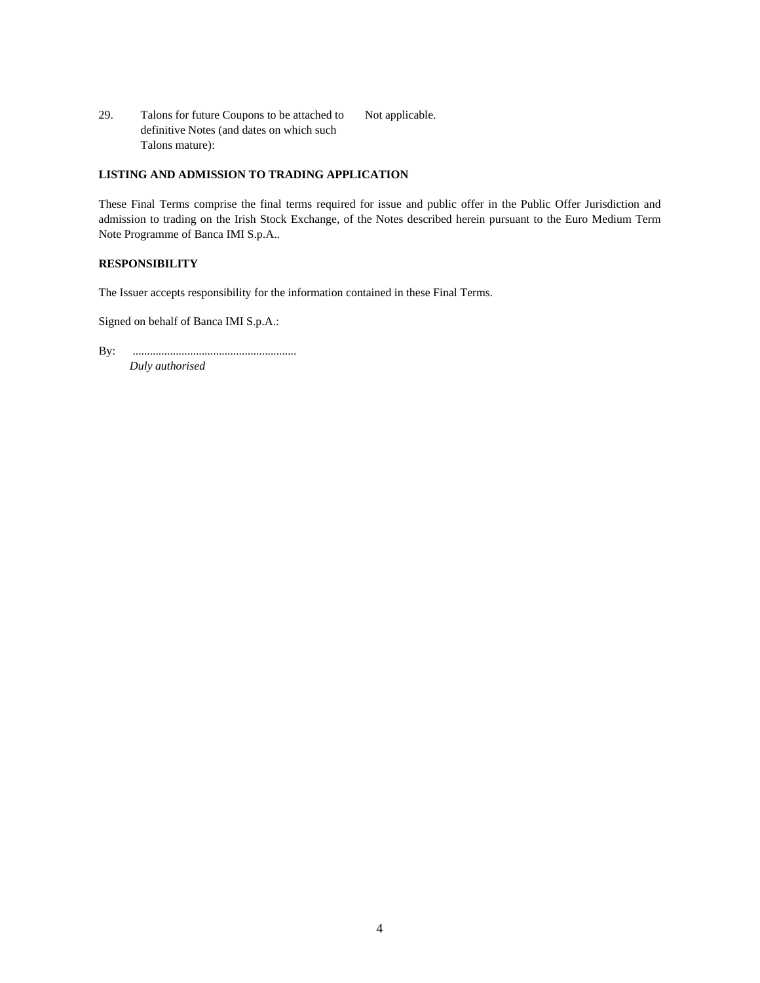29. Talons for future Coupons to be attached to definitive Notes (and dates on which such Talons mature): Not applicable.

# **LISTING AND ADMISSION TO TRADING APPLICATION**

These Final Terms comprise the final terms required for issue and public offer in the Public Offer Jurisdiction and admission to trading on the Irish Stock Exchange, of the Notes described herein pursuant to the Euro Medium Term Note Programme of Banca IMI S.p.A..

### **RESPONSIBILITY**

The Issuer accepts responsibility for the information contained in these Final Terms.

Signed on behalf of Banca IMI S.p.A.:

By: ......................................................... *Duly authorised*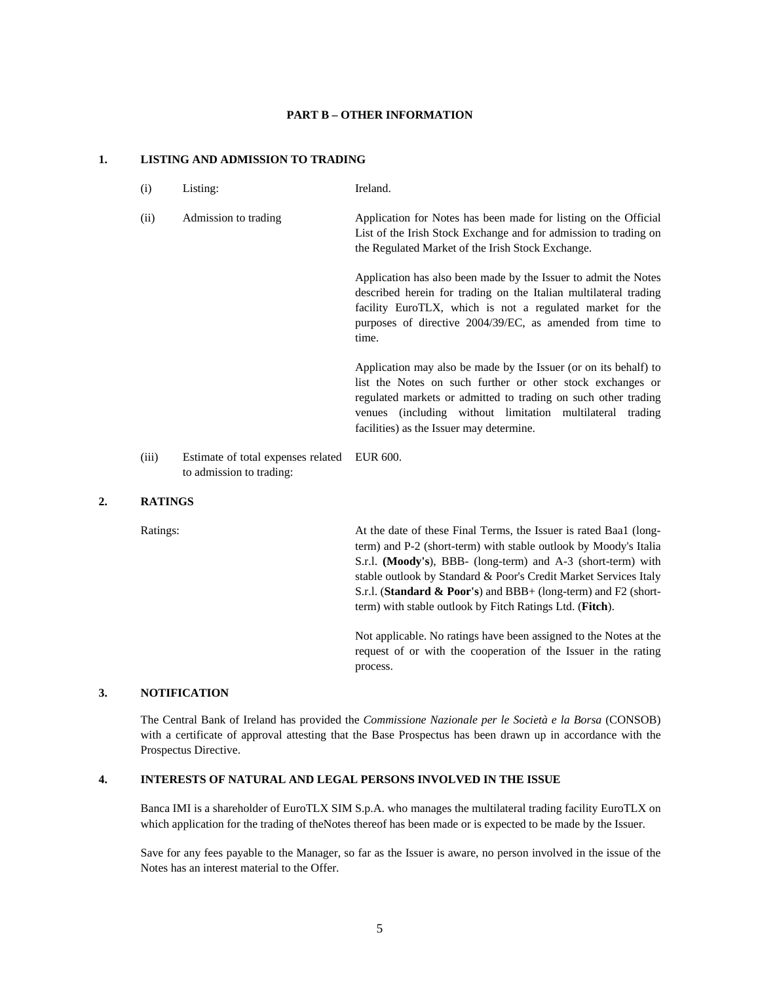#### **PART B – OTHER INFORMATION**

### **1. LISTING AND ADMISSION TO TRADING**

(i) Listing: Ireland. (ii) Admission to trading Application for Notes has been made for listing on the Official List of the Irish Stock Exchange and for admission to trading on the Regulated Market of the Irish Stock Exchange. Application has also been made by the Issuer to admit the Notes described herein for trading on the Italian multilateral trading facility EuroTLX, which is not a regulated market for the purposes of directive 2004/39/EC, as amended from time to

time.

Application may also be made by the Issuer (or on its behalf) to list the Notes on such further or other stock exchanges or regulated markets or admitted to trading on such other trading venues (including without limitation multilateral trading facilities) as the Issuer may determine.

(iii) Estimate of total expenses related EUR 600. to admission to trading:

#### **2. RATINGS**

Ratings: At the date of these Final Terms, the Issuer is rated Baa1 (longterm) and P-2 (short-term) with stable outlook by Moody's Italia S.r.l. **(Moody's**), BBB- (long-term) and A-3 (short-term) with stable outlook by Standard & Poor's Credit Market Services Italy S.r.l. (**Standard & Poor's**) and BBB+ (long-term) and F2 (shortterm) with stable outlook by Fitch Ratings Ltd. (**Fitch**).

> Not applicable. No ratings have been assigned to the Notes at the request of or with the cooperation of the Issuer in the rating process.

### **3. NOTIFICATION**

The Central Bank of Ireland has provided the *Commissione Nazionale per le Società e la Borsa* (CONSOB) with a certificate of approval attesting that the Base Prospectus has been drawn up in accordance with the Prospectus Directive.

### **4. INTERESTS OF NATURAL AND LEGAL PERSONS INVOLVED IN THE ISSUE**

Banca IMI is a shareholder of EuroTLX SIM S.p.A. who manages the multilateral trading facility EuroTLX on which application for the trading of the Notes thereof has been made or is expected to be made by the Issuer.

Save for any fees payable to the Manager, so far as the Issuer is aware, no person involved in the issue of the Notes has an interest material to the Offer.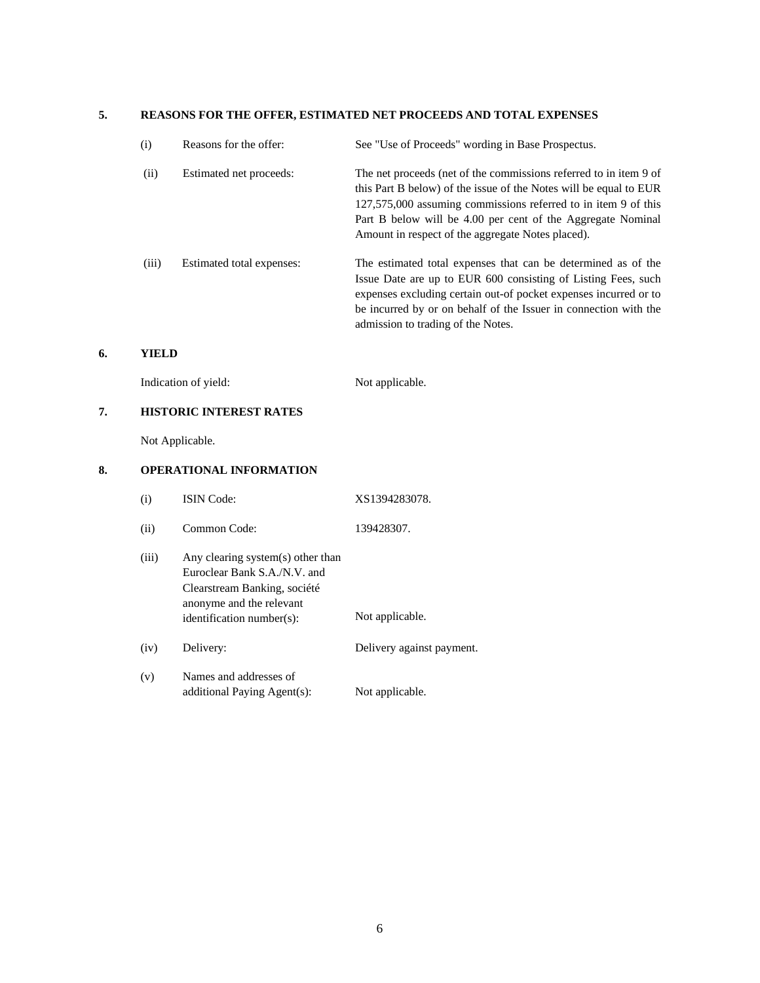### **5. REASONS FOR THE OFFER, ESTIMATED NET PROCEEDS AND TOTAL EXPENSES**

| (i)   | Reasons for the offer:    | See "Use of Proceeds" wording in Base Prospectus.                                                                                                                                                                                                                                                                            |
|-------|---------------------------|------------------------------------------------------------------------------------------------------------------------------------------------------------------------------------------------------------------------------------------------------------------------------------------------------------------------------|
| (ii)  | Estimated net proceeds:   | The net proceeds (net of the commissions referred to in item 9 of<br>this Part B below) of the issue of the Notes will be equal to EUR<br>127,575,000 assuming commissions referred to in item 9 of this<br>Part B below will be 4.00 per cent of the Aggregate Nominal<br>Amount in respect of the aggregate Notes placed). |
| (iii) | Estimated total expenses: | The estimated total expenses that can be determined as of the<br>Issue Date are up to EUR 600 consisting of Listing Fees, such<br>expenses excluding certain out-of pocket expenses incurred or to<br>be incurred by or on behalf of the Issuer in connection with the<br>admission to trading of the Notes.                 |

## **6. YIELD**

| Indication of yield: | Not applicable. |
|----------------------|-----------------|
|                      |                 |

# **7. HISTORIC INTEREST RATES**

Not Applicable.

# **8. OPERATIONAL INFORMATION**

| $\rm(i)$ | <b>ISIN</b> Code: | XS1394283078. |
|----------|-------------------|---------------|
|          |                   |               |

- (ii) Common Code: 139428307.
- (iii) Any clearing system(s) other than Euroclear Bank S.A./N.V. and Clearstream Banking, société anonyme and the relevant identification number(s): Not applicable. (iv) Delivery: Delivery against payment. (v) Names and addresses of additional Paying Agent(s): Not applicable.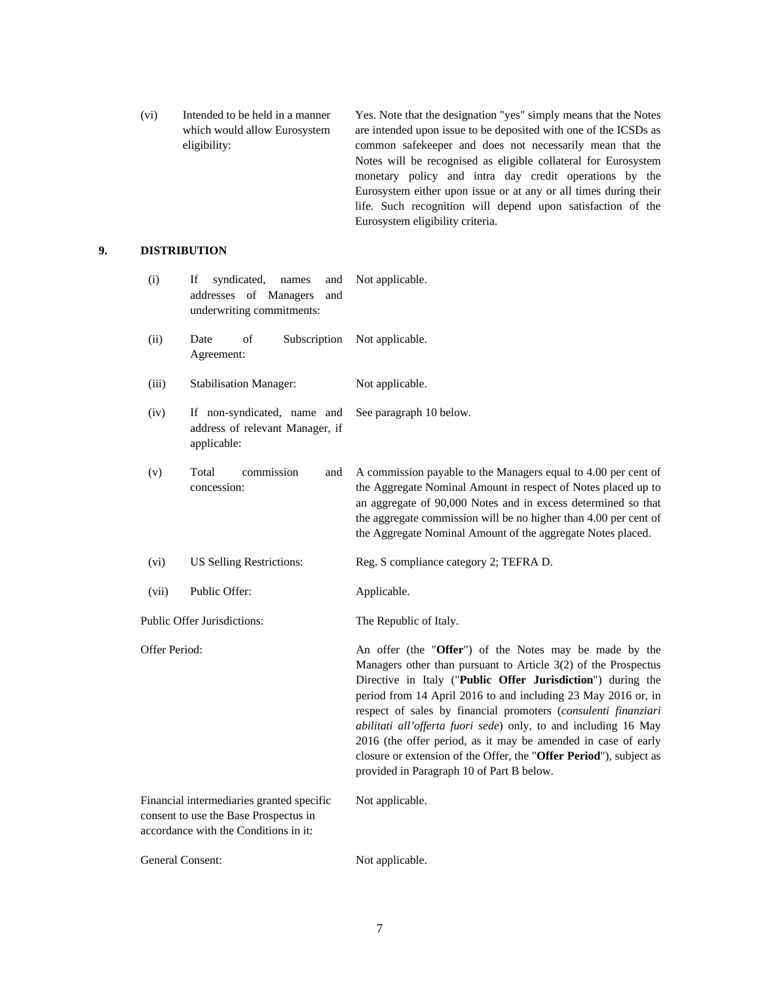(vi) Intended to be held in a manner which would allow Eurosystem eligibility: Yes. Note that the designation "yes" simply means that the Notes are intended upon issue to be deposited with one of the ICSDs as common safekeeper and does not necessarily mean that the Notes will be recognised as eligible collateral for Eurosystem monetary policy and intra day credit operations by the Eurosystem either upon issue or at any or all times during their life. Such recognition will depend upon satisfaction of the Eurosystem eligibility criteria.

# **9. DISTRIBUTION**

| (i)              | syndicated,<br>If<br>names<br>and<br>addresses of Managers<br>and<br>underwriting commitments:                              | Not applicable.                                                                                                                                                                                                                                                                                                                                                                                                                                                                                                                                                                   |
|------------------|-----------------------------------------------------------------------------------------------------------------------------|-----------------------------------------------------------------------------------------------------------------------------------------------------------------------------------------------------------------------------------------------------------------------------------------------------------------------------------------------------------------------------------------------------------------------------------------------------------------------------------------------------------------------------------------------------------------------------------|
| (ii)             | Date<br>οf<br>Subscription<br>Agreement:                                                                                    | Not applicable.                                                                                                                                                                                                                                                                                                                                                                                                                                                                                                                                                                   |
| (iii)            | <b>Stabilisation Manager:</b>                                                                                               | Not applicable.                                                                                                                                                                                                                                                                                                                                                                                                                                                                                                                                                                   |
| (iv)             | If non-syndicated, name and<br>address of relevant Manager, if<br>applicable:                                               | See paragraph 10 below.                                                                                                                                                                                                                                                                                                                                                                                                                                                                                                                                                           |
| (v)              | Total<br>commission<br>and<br>concession:                                                                                   | A commission payable to the Managers equal to 4.00 per cent of<br>the Aggregate Nominal Amount in respect of Notes placed up to<br>an aggregate of 90,000 Notes and in excess determined so that<br>the aggregate commission will be no higher than 4.00 per cent of<br>the Aggregate Nominal Amount of the aggregate Notes placed.                                                                                                                                                                                                                                               |
| (vi)             | <b>US Selling Restrictions:</b>                                                                                             | Reg. S compliance category 2; TEFRA D.                                                                                                                                                                                                                                                                                                                                                                                                                                                                                                                                            |
| (vii)            | Public Offer:                                                                                                               | Applicable.                                                                                                                                                                                                                                                                                                                                                                                                                                                                                                                                                                       |
|                  | Public Offer Jurisdictions:                                                                                                 | The Republic of Italy.                                                                                                                                                                                                                                                                                                                                                                                                                                                                                                                                                            |
| Offer Period:    |                                                                                                                             | An offer (the "Offer") of the Notes may be made by the<br>Managers other than pursuant to Article 3(2) of the Prospectus<br>Directive in Italy ("Public Offer Jurisdiction") during the<br>period from 14 April 2016 to and including 23 May 2016 or, in<br>respect of sales by financial promoters (consulenti finanziari<br>abilitati all'offerta fuori sede) only, to and including 16 May<br>2016 (the offer period, as it may be amended in case of early<br>closure or extension of the Offer, the "Offer Period"), subject as<br>provided in Paragraph 10 of Part B below. |
|                  | Financial intermediaries granted specific<br>consent to use the Base Prospectus in<br>accordance with the Conditions in it: | Not applicable.                                                                                                                                                                                                                                                                                                                                                                                                                                                                                                                                                                   |
| General Consent: |                                                                                                                             | Not applicable.                                                                                                                                                                                                                                                                                                                                                                                                                                                                                                                                                                   |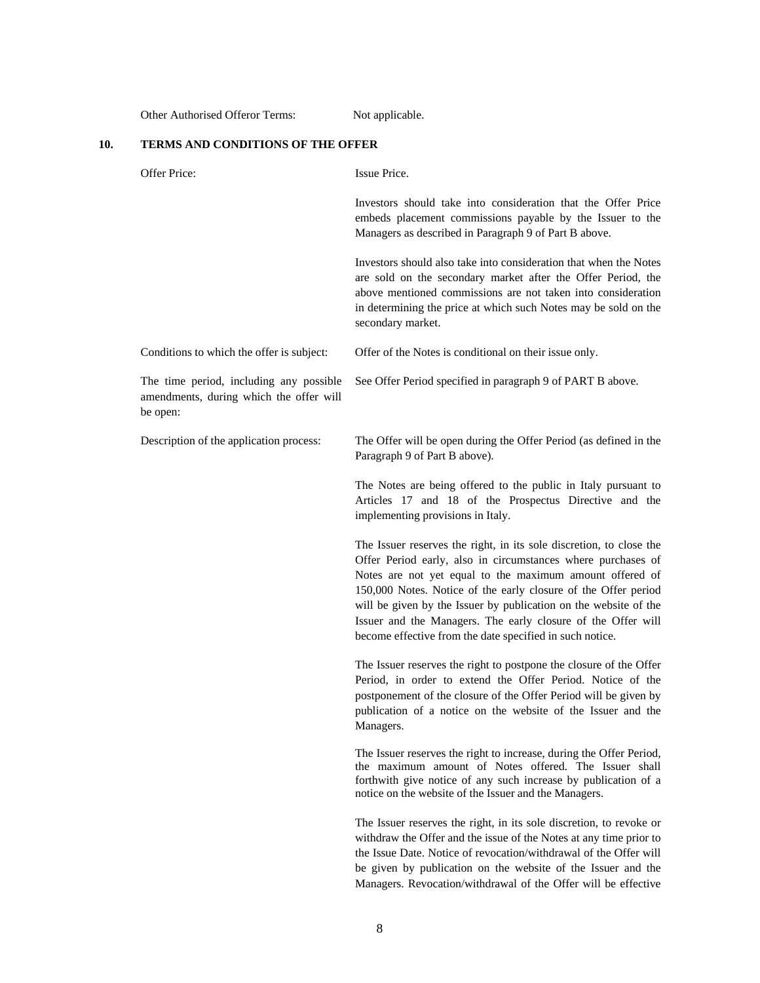Other Authorised Offeror Terms: Not applicable.

# **10. TERMS AND CONDITIONS OF THE OFFER**

| Offer Price:                                                                                   | Issue Price.                                                                                                                                                                                                                                                                                                                                                                                                                                                      |
|------------------------------------------------------------------------------------------------|-------------------------------------------------------------------------------------------------------------------------------------------------------------------------------------------------------------------------------------------------------------------------------------------------------------------------------------------------------------------------------------------------------------------------------------------------------------------|
|                                                                                                | Investors should take into consideration that the Offer Price<br>embeds placement commissions payable by the Issuer to the<br>Managers as described in Paragraph 9 of Part B above.                                                                                                                                                                                                                                                                               |
|                                                                                                | Investors should also take into consideration that when the Notes<br>are sold on the secondary market after the Offer Period, the<br>above mentioned commissions are not taken into consideration<br>in determining the price at which such Notes may be sold on the<br>secondary market.                                                                                                                                                                         |
| Conditions to which the offer is subject:                                                      | Offer of the Notes is conditional on their issue only.                                                                                                                                                                                                                                                                                                                                                                                                            |
| The time period, including any possible<br>amendments, during which the offer will<br>be open: | See Offer Period specified in paragraph 9 of PART B above.                                                                                                                                                                                                                                                                                                                                                                                                        |
| Description of the application process:                                                        | The Offer will be open during the Offer Period (as defined in the<br>Paragraph 9 of Part B above).                                                                                                                                                                                                                                                                                                                                                                |
|                                                                                                | The Notes are being offered to the public in Italy pursuant to<br>Articles 17 and 18 of the Prospectus Directive and the<br>implementing provisions in Italy.                                                                                                                                                                                                                                                                                                     |
|                                                                                                | The Issuer reserves the right, in its sole discretion, to close the<br>Offer Period early, also in circumstances where purchases of<br>Notes are not yet equal to the maximum amount offered of<br>150,000 Notes. Notice of the early closure of the Offer period<br>will be given by the Issuer by publication on the website of the<br>Issuer and the Managers. The early closure of the Offer will<br>become effective from the date specified in such notice. |
|                                                                                                | The Issuer reserves the right to postpone the closure of the Offer<br>Period, in order to extend the Offer Period. Notice of the<br>postponement of the closure of the Offer Period will be given by<br>publication of a notice on the website of the Issuer and the<br>Managers.                                                                                                                                                                                 |
|                                                                                                | The Issuer reserves the right to increase, during the Offer Period,<br>the maximum amount of Notes offered. The Issuer shall<br>forthwith give notice of any such increase by publication of a<br>notice on the website of the Issuer and the Managers.                                                                                                                                                                                                           |
|                                                                                                | The Issuer reserves the right, in its sole discretion, to revoke or<br>withdraw the Offer and the issue of the Notes at any time prior to<br>the Issue Date. Notice of revocation/withdrawal of the Offer will<br>be given by publication on the website of the Issuer and the<br>Managers. Revocation/withdrawal of the Offer will be effective                                                                                                                  |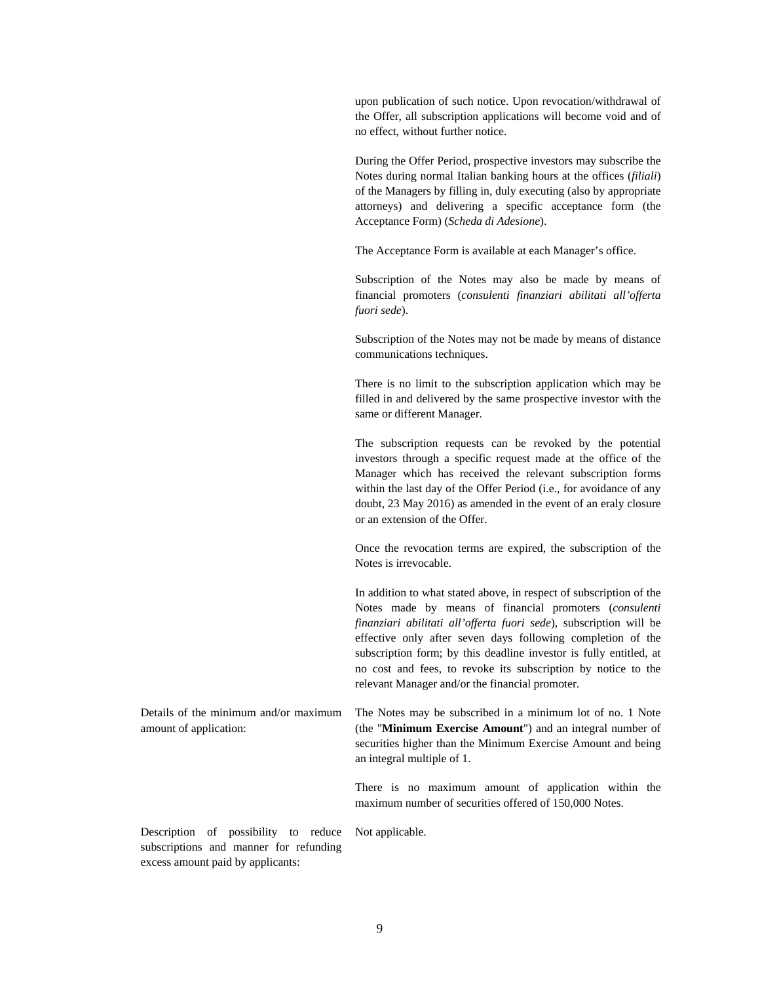upon publication of such notice. Upon revocation/withdrawal of the Offer, all subscription applications will become void and of no effect, without further notice.

During the Offer Period, prospective investors may subscribe the Notes during normal Italian banking hours at the offices (*filiali*) of the Managers by filling in, duly executing (also by appropriate attorneys) and delivering a specific acceptance form (the Acceptance Form) (*Scheda di Adesione*).

The Acceptance Form is available at each Manager's office.

Subscription of the Notes may also be made by means of financial promoters (*consulenti finanziari abilitati all'offerta fuori sede*).

Subscription of the Notes may not be made by means of distance communications techniques.

There is no limit to the subscription application which may be filled in and delivered by the same prospective investor with the same or different Manager.

The subscription requests can be revoked by the potential investors through a specific request made at the office of the Manager which has received the relevant subscription forms within the last day of the Offer Period (i.e., for avoidance of any doubt, 23 May 2016) as amended in the event of an eraly closure or an extension of the Offer.

Once the revocation terms are expired, the subscription of the Notes is irrevocable.

In addition to what stated above, in respect of subscription of the Notes made by means of financial promoters (*consulenti finanziari abilitati all'offerta fuori sede*), subscription will be effective only after seven days following completion of the subscription form; by this deadline investor is fully entitled, at no cost and fees, to revoke its subscription by notice to the relevant Manager and/or the financial promoter.

Details of the minimum and/or maximum amount of application: The Notes may be subscribed in a minimum lot of no. 1 Note (the "**Minimum Exercise Amount**") and an integral number of securities higher than the Minimum Exercise Amount and being an integral multiple of 1.

Not applicable.

There is no maximum amount of application within the maximum number of securities offered of 150,000 Notes.

Description of possibility to reduce subscriptions and manner for refunding excess amount paid by applicants: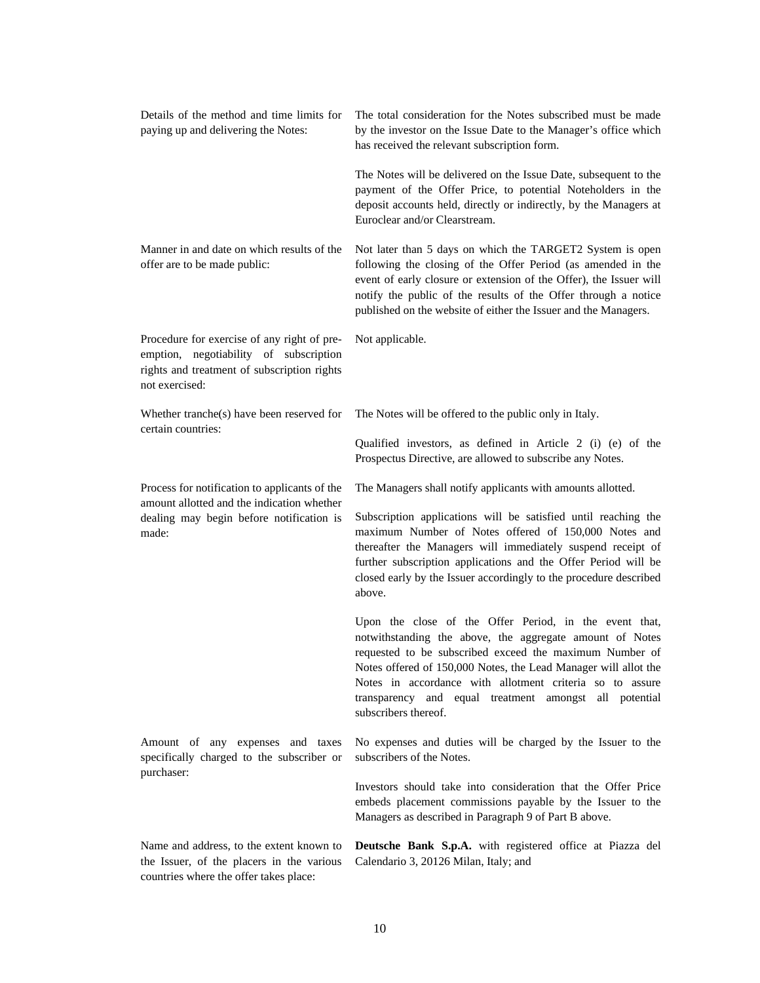| Details of the method and time limits for<br>paying up and delivering the Notes:                                                                       | The total consideration for the Notes subscribed must be made<br>by the investor on the Issue Date to the Manager's office which<br>has received the relevant subscription form.                                                                                                                                                                                                               |
|--------------------------------------------------------------------------------------------------------------------------------------------------------|------------------------------------------------------------------------------------------------------------------------------------------------------------------------------------------------------------------------------------------------------------------------------------------------------------------------------------------------------------------------------------------------|
|                                                                                                                                                        | The Notes will be delivered on the Issue Date, subsequent to the<br>payment of the Offer Price, to potential Noteholders in the<br>deposit accounts held, directly or indirectly, by the Managers at<br>Euroclear and/or Clearstream.                                                                                                                                                          |
| Manner in and date on which results of the<br>offer are to be made public:                                                                             | Not later than 5 days on which the TARGET2 System is open<br>following the closing of the Offer Period (as amended in the<br>event of early closure or extension of the Offer), the Issuer will<br>notify the public of the results of the Offer through a notice<br>published on the website of either the Issuer and the Managers.                                                           |
| Procedure for exercise of any right of pre-<br>emption, negotiability of subscription<br>rights and treatment of subscription rights<br>not exercised: | Not applicable.                                                                                                                                                                                                                                                                                                                                                                                |
| Whether tranche(s) have been reserved for<br>certain countries:                                                                                        | The Notes will be offered to the public only in Italy.                                                                                                                                                                                                                                                                                                                                         |
|                                                                                                                                                        | Qualified investors, as defined in Article 2 (i) (e) of the<br>Prospectus Directive, are allowed to subscribe any Notes.                                                                                                                                                                                                                                                                       |
| Process for notification to applicants of the<br>amount allotted and the indication whether                                                            | The Managers shall notify applicants with amounts allotted.                                                                                                                                                                                                                                                                                                                                    |
| dealing may begin before notification is<br>made:                                                                                                      | Subscription applications will be satisfied until reaching the<br>maximum Number of Notes offered of 150,000 Notes and<br>thereafter the Managers will immediately suspend receipt of<br>further subscription applications and the Offer Period will be<br>closed early by the Issuer accordingly to the procedure described<br>above.                                                         |
|                                                                                                                                                        | Upon the close of the Offer Period, in the event that,<br>notwithstanding the above, the aggregate amount of Notes<br>requested to be subscribed exceed the maximum Number of<br>Notes offered of 150,000 Notes, the Lead Manager will allot the<br>Notes in accordance with allotment criteria so to assure<br>transparency and equal treatment amongst all potential<br>subscribers thereof. |
| Amount of any expenses and taxes<br>specifically charged to the subscriber or                                                                          | No expenses and duties will be charged by the Issuer to the<br>subscribers of the Notes.                                                                                                                                                                                                                                                                                                       |
| purchaser:                                                                                                                                             | Investors should take into consideration that the Offer Price<br>embeds placement commissions payable by the Issuer to the<br>Managers as described in Paragraph 9 of Part B above.                                                                                                                                                                                                            |
| Name and address, to the extent known to<br>the Issuer, of the placers in the various<br>countries where the offer takes place:                        | Deutsche Bank S.p.A. with registered office at Piazza del<br>Calendario 3, 20126 Milan, Italy; and                                                                                                                                                                                                                                                                                             |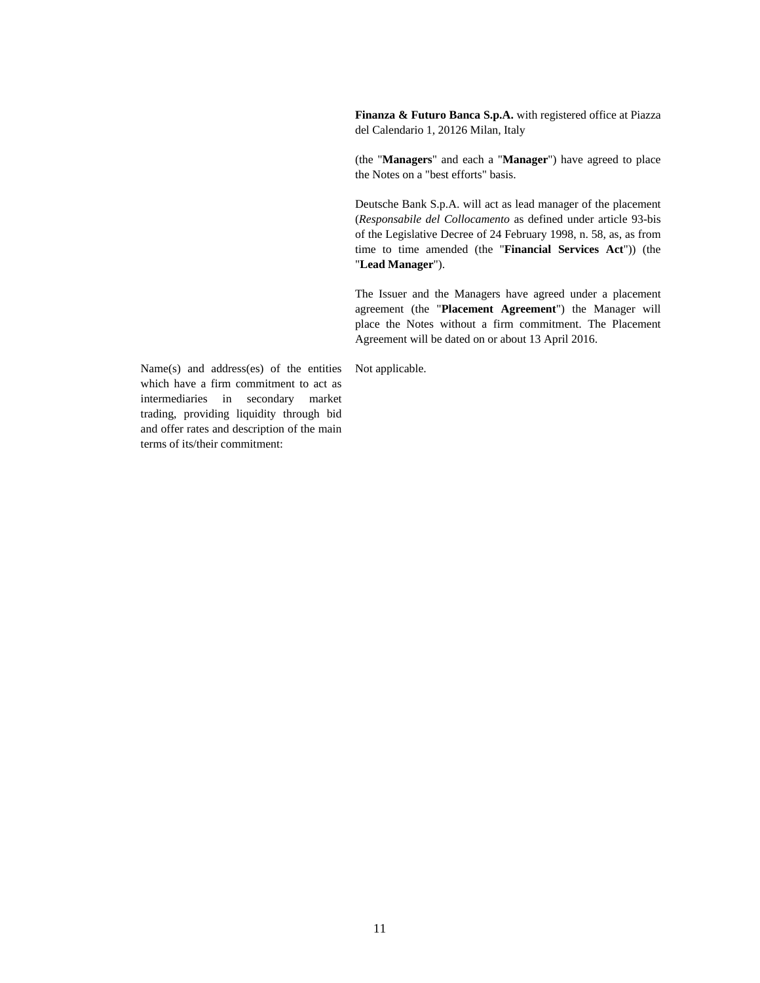**Finanza & Futuro Banca S.p.A.** with registered office at Piazza del Calendario 1, 20126 Milan, Italy

(the "**Managers**" and each a "**Manager**") have agreed to place the Notes on a "best efforts" basis.

Deutsche Bank S.p.A. will act as lead manager of the placement (*Responsabile del Collocamento* as defined under article 93-bis of the Legislative Decree of 24 February 1998, n. 58, as, as from time to time amended (the "**Financial Services Act**")) (the "**Lead Manager**").

The Issuer and the Managers have agreed under a placement agreement (the "**Placement Agreement**") the Manager will place the Notes without a firm commitment. The Placement Agreement will be dated on or about 13 April 2016.

Not applicable.

Name(s) and address(es) of the entities which have a firm commitment to act as intermediaries in secondary market trading, providing liquidity through bid and offer rates and description of the main terms of its/their commitment: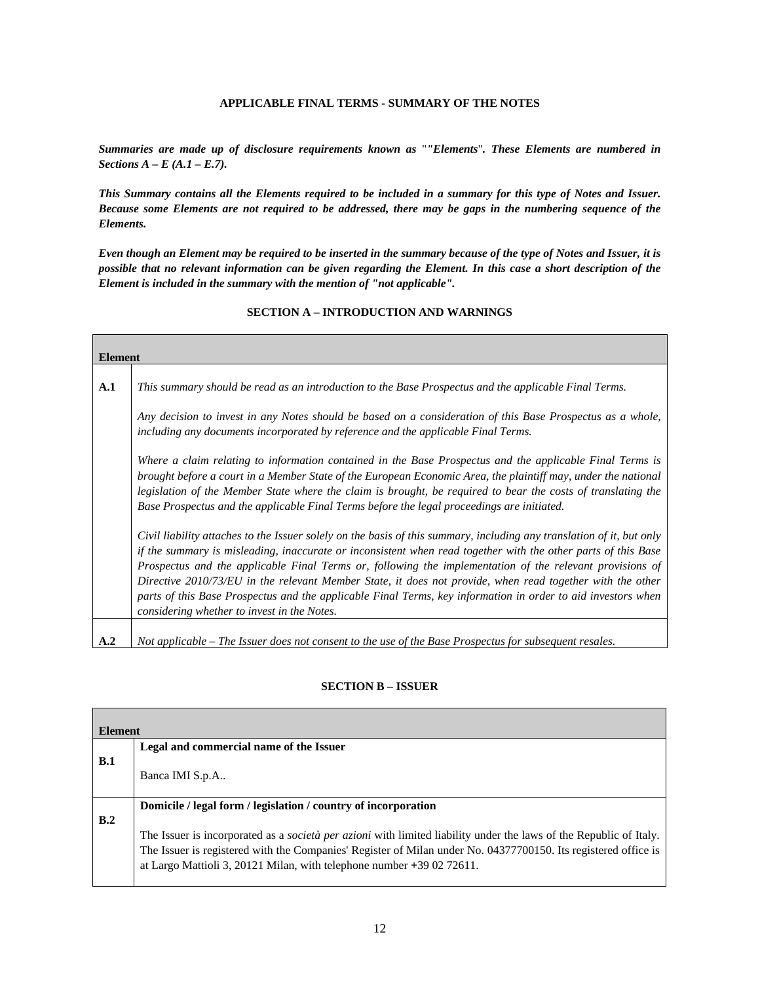### **APPLICABLE FINAL TERMS - SUMMARY OF THE NOTES**

*Summaries are made up of disclosure requirements known as* "*"Elements*"*. These Elements are numbered in Sections A – E (A.1 – E.7).* 

*This Summary contains all the Elements required to be included in a summary for this type of Notes and Issuer. Because some Elements are not required to be addressed, there may be gaps in the numbering sequence of the Elements.* 

*Even though an Element may be required to be inserted in the summary because of the type of Notes and Issuer, it is possible that no relevant information can be given regarding the Element. In this case a short description of the Element is included in the summary with the mention of "not applicable".* 

# **Element A.1** *This summary should be read as an introduction to the Base Prospectus and the applicable Final Terms. Any decision to invest in any Notes should be based on a consideration of this Base Prospectus as a whole, including any documents incorporated by reference and the applicable Final Terms. Where a claim relating to information contained in the Base Prospectus and the applicable Final Terms is brought before a court in a Member State of the European Economic Area, the plaintiff may, under the national legislation of the Member State where the claim is brought, be required to bear the costs of translating the Base Prospectus and the applicable Final Terms before the legal proceedings are initiated. Civil liability attaches to the Issuer solely on the basis of this summary, including any translation of it, but only if the summary is misleading, inaccurate or inconsistent when read together with the other parts of this Base Prospectus and the applicable Final Terms or, following the implementation of the relevant provisions of Directive 2010/73/EU in the relevant Member State, it does not provide, when read together with the other parts of this Base Prospectus and the applicable Final Terms, key information in order to aid investors when considering whether to invest in the Notes.*  **A.2** *Not applicable – The Issuer does not consent to the use of the Base Prospectus for subsequent resales.*

# **SECTION A – INTRODUCTION AND WARNINGS**

### **SECTION B – ISSUER**

| <b>Element</b> |                                                                                                                           |
|----------------|---------------------------------------------------------------------------------------------------------------------------|
|                | Legal and commercial name of the Issuer                                                                                   |
| B.1            |                                                                                                                           |
|                | Banca IMI S.p.A                                                                                                           |
|                |                                                                                                                           |
|                | Domicile / legal form / legislation / country of incorporation                                                            |
| B.2            |                                                                                                                           |
|                | The Issuer is incorporated as a <i>società per azioni</i> with limited liability under the laws of the Republic of Italy. |
|                | The Issuer is registered with the Companies' Register of Milan under No. 04377700150. Its registered office is            |
|                | at Largo Mattioli 3, 20121 Milan, with telephone number $+390272611$ .                                                    |
|                |                                                                                                                           |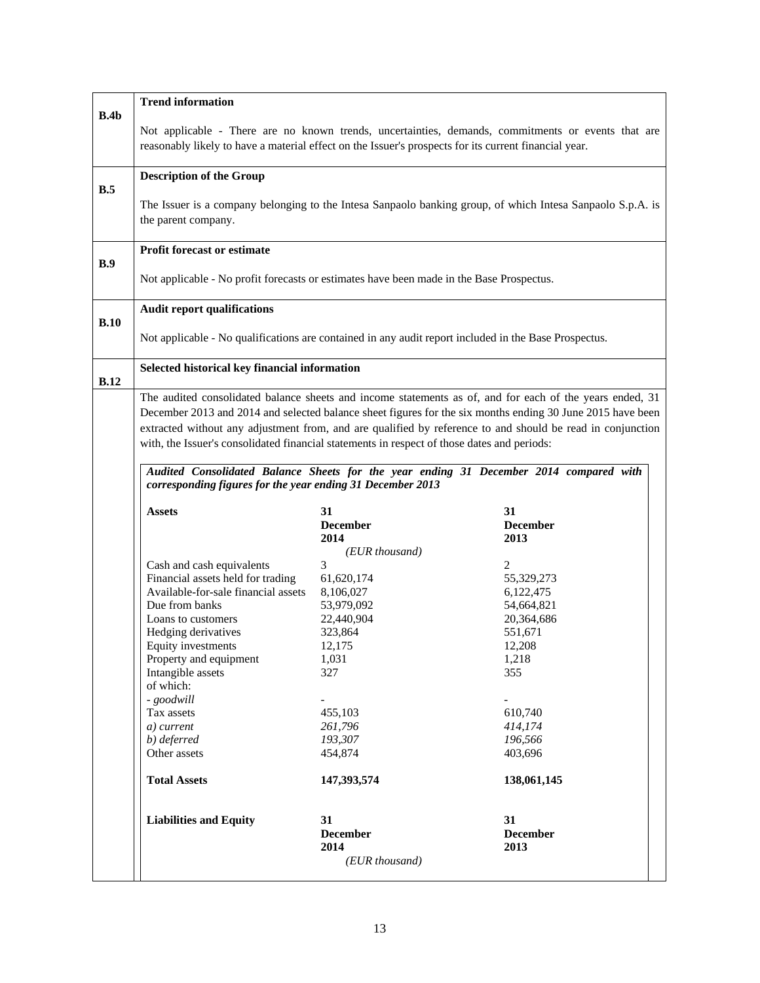|             | <b>Trend information</b>                                                                              |                         |                                                                                                            |
|-------------|-------------------------------------------------------------------------------------------------------|-------------------------|------------------------------------------------------------------------------------------------------------|
| B.4b        | reasonably likely to have a material effect on the Issuer's prospects for its current financial year. |                         | Not applicable - There are no known trends, uncertainties, demands, commitments or events that are         |
|             | <b>Description of the Group</b>                                                                       |                         |                                                                                                            |
| B.5         | the parent company.                                                                                   |                         | The Issuer is a company belonging to the Intesa Sanpaolo banking group, of which Intesa Sanpaolo S.p.A. is |
|             | <b>Profit forecast or estimate</b>                                                                    |                         |                                                                                                            |
| B.9         | Not applicable - No profit forecasts or estimates have been made in the Base Prospectus.              |                         |                                                                                                            |
|             | <b>Audit report qualifications</b>                                                                    |                         |                                                                                                            |
| B.10        | Not applicable - No qualifications are contained in any audit report included in the Base Prospectus. |                         |                                                                                                            |
| <b>B.12</b> | Selected historical key financial information                                                         |                         |                                                                                                            |
|             |                                                                                                       |                         | The audited consolidated balance sheets and income statements as of, and for each of the years ended, 31   |
|             |                                                                                                       |                         | December 2013 and 2014 and selected balance sheet figures for the six months ending 30 June 2015 have been |
|             |                                                                                                       |                         | extracted without any adjustment from, and are qualified by reference to and should be read in conjunction |
|             | with, the Issuer's consolidated financial statements in respect of those dates and periods:           |                         |                                                                                                            |
|             | corresponding figures for the year ending 31 December 2013                                            |                         | Audited Consolidated Balance Sheets for the year ending 31 December 2014 compared with                     |
|             | <b>Assets</b>                                                                                         | 31                      |                                                                                                            |
|             |                                                                                                       | <b>December</b><br>2014 | <b>December</b><br>2013                                                                                    |
|             |                                                                                                       | (EUR thousand)          |                                                                                                            |
|             | Cash and cash equivalents                                                                             | 3                       | $\mathfrak{D}$                                                                                             |
|             | Financial assets held for trading                                                                     | 61,620,174              | 55,329,273                                                                                                 |
|             | Available-for-sale financial assets                                                                   | 8,106,027               | 6,122,475                                                                                                  |
|             | Due from banks                                                                                        | 53,979,092              | 54,664,821                                                                                                 |
|             | Loans to customers<br>Hedging derivatives                                                             | 22,440,904<br>323,864   | 20,364,686<br>551,671                                                                                      |
|             | Equity investments                                                                                    | 12,175                  | 12,208                                                                                                     |
|             | Property and equipment                                                                                | 1,031                   | 1,218                                                                                                      |
|             | Intangible assets<br>of which:                                                                        | 327                     | 355                                                                                                        |
|             | - goodwill                                                                                            |                         |                                                                                                            |
|             | Tax assets                                                                                            | 455,103                 | 610,740                                                                                                    |
|             | a) current                                                                                            | 261,796                 | 414,174                                                                                                    |
|             | b) deferred                                                                                           | 193,307                 | 196,566                                                                                                    |
|             | Other assets                                                                                          | 454,874                 | 403,696                                                                                                    |
|             | <b>Total Assets</b>                                                                                   | 147,393,574             | 138,061,145                                                                                                |
|             | <b>Liabilities and Equity</b>                                                                         | 31                      | 31                                                                                                         |
|             |                                                                                                       | <b>December</b>         | <b>December</b>                                                                                            |
|             |                                                                                                       | 2014                    | 2013                                                                                                       |
|             |                                                                                                       | (EUR thousand)          |                                                                                                            |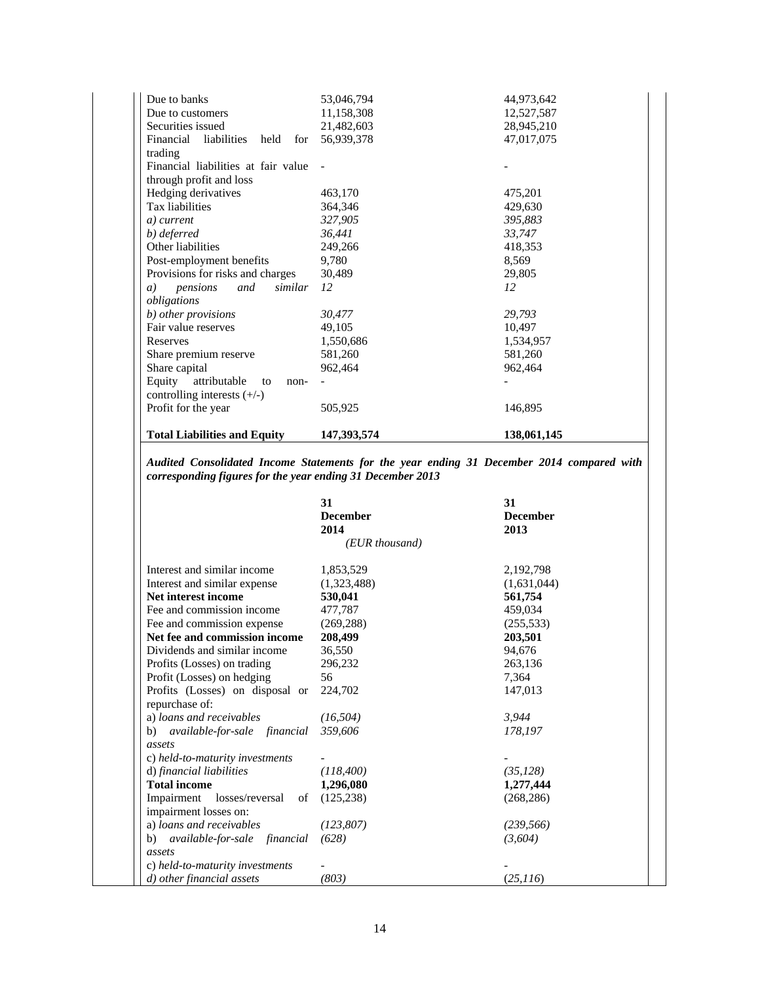| <b>Total Liabilities and Equity</b>     | 147,393,574 | 138,061,145 |
|-----------------------------------------|-------------|-------------|
| Profit for the year                     | 505,925     | 146,895     |
| controlling interests $(+/-)$           |             |             |
| Equity<br>attributable<br>to<br>non-    |             |             |
| Share capital                           | 962,464     | 962,464     |
| Share premium reserve                   | 581,260     | 581,260     |
| Reserves                                | 1,550,686   | 1,534,957   |
| Fair value reserves                     | 49,105      | 10,497      |
| b) other provisions                     | 30,477      | 29,793      |
| obligations                             |             |             |
| similar<br>pensions<br>and<br>a)        | 12          | 12          |
| Provisions for risks and charges        | 30,489      | 29,805      |
| Post-employment benefits                | 9,780       | 8,569       |
| Other liabilities                       | 249,266     | 418,353     |
| b) deferred                             | 36,441      | 33,747      |
| a) current                              | 327,905     | 395,883     |
| Tax liabilities                         | 364,346     | 429,630     |
| Hedging derivatives                     | 463,170     | 475,201     |
| through profit and loss                 |             |             |
| Financial liabilities at fair value     |             |             |
| trading                                 |             |             |
| Financial<br>liabilities<br>held<br>for | 56,939,378  | 47,017,075  |
| Securities issued                       | 21,482,603  | 28,945,210  |
| Due to customers                        | 11,158,308  | 12,527,587  |
| Due to banks                            | 53,046,794  | 44,973,642  |

*Audited Consolidated Income Statements for the year ending 31 December 2014 compared with corresponding figures for the year ending 31 December 2013* 

|                                  | 31<br><b>December</b><br>2014 | 31<br><b>December</b><br>2013 |
|----------------------------------|-------------------------------|-------------------------------|
|                                  | (EUR thousand)                |                               |
| Interest and similar income      | 1,853,529                     | 2,192,798                     |
| Interest and similar expense     | (1,323,488)                   | (1,631,044)                   |
| Net interest income              | 530,041                       | 561,754                       |
| Fee and commission income        | 477,787                       | 459,034                       |
| Fee and commission expense       | (269, 288)                    | (255, 533)                    |
| Net fee and commission income    | 208,499                       | 203,501                       |
| Dividends and similar income     | 36,550                        | 94,676                        |
| Profits (Losses) on trading      | 296,232                       | 263,136                       |
| Profit (Losses) on hedging       | 56                            | 7,364                         |
| Profits (Losses) on disposal or  | 224,702                       | 147,013                       |
| repurchase of:                   |                               |                               |
| a) loans and receivables         | (16, 504)                     | 3,944                         |
| b) available-for-sale financial  | 359,606                       | 178,197                       |
| assets                           |                               |                               |
| c) held-to-maturity investments  |                               |                               |
| d) financial liabilities         | (118, 400)                    | (35, 128)                     |
| <b>Total income</b>              | 1,296,080                     | 1,277,444                     |
| Impairment losses/reversal<br>οf | (125, 238)                    | (268, 286)                    |
| impairment losses on:            |                               |                               |
| a) loans and receivables         | (123, 807)                    | (239, 566)                    |
| b) available-for-sale financial  | (628)                         | (3,604)                       |
| assets                           |                               |                               |
| c) held-to-maturity investments  |                               |                               |
| d) other financial assets        | (803)                         | (25,116)                      |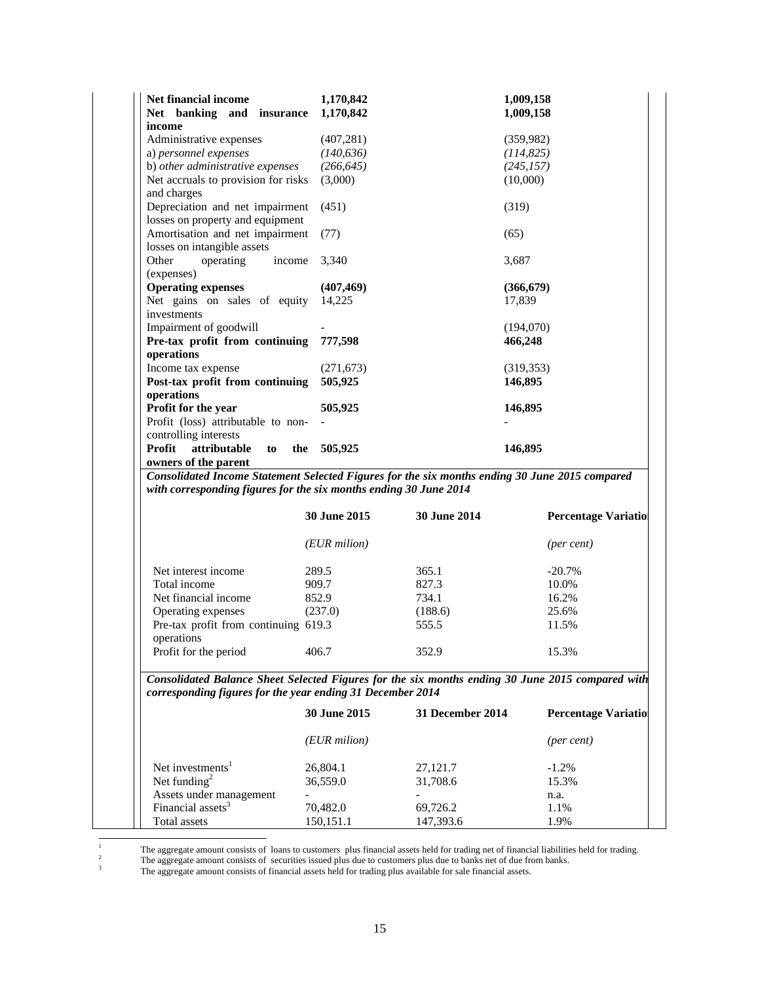| Net financial income<br>Net banking and insurance 1,170,842 | 1,170,842  | 1,009,158<br>1,009,158 |
|-------------------------------------------------------------|------------|------------------------|
| income                                                      |            |                        |
| Administrative expenses                                     | (407, 281) | (359, 982)             |
| a) personnel expenses                                       | (140, 636) | (114, 825)             |
| b) other administrative expenses                            | (266, 645) | (245, 157)             |
| Net accruals to provision for risks                         | (3,000)    | (10,000)               |
| and charges                                                 |            |                        |
| Depreciation and net impairment                             | (451)      | (319)                  |
| losses on property and equipment                            |            |                        |
| Amortisation and net impairment                             | (77)       | (65)                   |
| losses on intangible assets                                 |            |                        |
| Other<br>operating<br>income                                | 3,340      | 3,687                  |
| (expenses)                                                  |            |                        |
| <b>Operating expenses</b>                                   | (407, 469) | (366, 679)             |
| Net gains on sales of equity                                | 14.225     | 17,839                 |
| investments                                                 |            |                        |
| Impairment of goodwill                                      |            | (194,070)              |
| Pre-tax profit from continuing                              | 777,598    | 466,248                |
| operations                                                  |            |                        |
| Income tax expense                                          | (271, 673) | (319, 353)             |
| Post-tax profit from continuing                             | 505,925    | 146,895                |
| operations                                                  |            |                        |
| Profit for the year                                         | 505,925    | 146,895                |
| Profit (loss) attributable to non-                          |            |                        |
| controlling interests                                       |            |                        |
| Profit<br>attributable<br>the<br>to                         | 505,925    | 146,895                |
| owners of the parent                                        |            |                        |

*Consolidated Income Statement Selected Figures for the six months ending 30 June 2015 compared with corresponding figures for the six months ending 30 June 2014* 

|                                                    | <b>30 June 2015</b> | <b>30 June 2014</b> | <b>Percentage Variation</b> |
|----------------------------------------------------|---------------------|---------------------|-----------------------------|
|                                                    | (EUR milion)        |                     | (per cent)                  |
| Net interest income                                | 289.5               | 365.1               | $-20.7\%$                   |
| Total income                                       | 909.7               | 827.3               | 10.0%                       |
| Net financial income                               | 852.9               | 734.1               | 16.2%                       |
| Operating expenses                                 | (237.0)             | (188.6)             | 25.6%                       |
| Pre-tax profit from continuing 619.3<br>operations |                     | 555.5               | 11.5%                       |
| Profit for the period                              | 406.7               | 352.9               | 15.3%                       |

*Consolidated Balance Sheet Selected Figures for the six months ending 30 June 2015 compared with corresponding figures for the year ending 31 December 2014*

|                               | 30 June 2015 | 31 December 2014 | <b>Percentage Variation</b> |
|-------------------------------|--------------|------------------|-----------------------------|
|                               | (EUR milion) |                  | (per cent)                  |
| Net investments <sup>1</sup>  | 26,804.1     | 27,121.7         | $-1.2\%$                    |
| Net funding <sup>2</sup>      | 36,559.0     | 31,708.6         | 15.3%                       |
| Assets under management       |              |                  | n.a.                        |
| Financial assets <sup>3</sup> | 70,482.0     | 69,726.2         | 1.1%                        |
| Total assets                  | 150, 151. 1  | 147,393.6        | 1.9%                        |

 $\frac{1}{1}$ <sup>1</sup> The aggregate amount consists of loans to customers plus financial assets held for trading net of financial liabilities held for trading.<br><sup>2</sup> The aggregate amount consists of securities issued plus due to customers pl

<sup>3</sup> The aggregate amount consists of financial assets held for trading plus available for sale financial assets.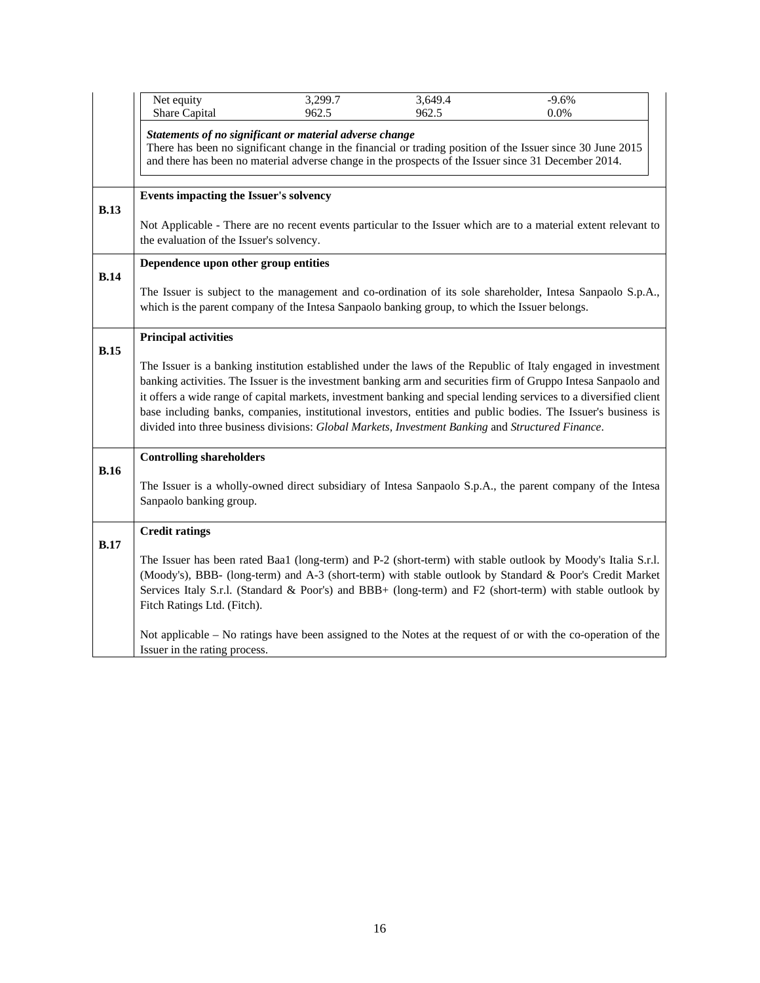|             | Net equity                                                                                                                                                  | 3,299.7                                                                                           | 3,649.4 | $-9.6%$                                                                                                                                                                                                                                                                                                                                                                                                                                                                 |
|-------------|-------------------------------------------------------------------------------------------------------------------------------------------------------------|---------------------------------------------------------------------------------------------------|---------|-------------------------------------------------------------------------------------------------------------------------------------------------------------------------------------------------------------------------------------------------------------------------------------------------------------------------------------------------------------------------------------------------------------------------------------------------------------------------|
|             | Share Capital                                                                                                                                               | 962.5                                                                                             | 962.5   | 0.0%                                                                                                                                                                                                                                                                                                                                                                                                                                                                    |
|             |                                                                                                                                                             | Statements of no significant or material adverse change                                           |         | There has been no significant change in the financial or trading position of the Issuer since 30 June 2015<br>and there has been no material adverse change in the prospects of the Issuer since 31 December 2014.                                                                                                                                                                                                                                                      |
| B.13        | Events impacting the Issuer's solvency                                                                                                                      |                                                                                                   |         |                                                                                                                                                                                                                                                                                                                                                                                                                                                                         |
|             | Not Applicable - There are no recent events particular to the Issuer which are to a material extent relevant to<br>the evaluation of the Issuer's solvency. |                                                                                                   |         |                                                                                                                                                                                                                                                                                                                                                                                                                                                                         |
|             | Dependence upon other group entities                                                                                                                        |                                                                                                   |         |                                                                                                                                                                                                                                                                                                                                                                                                                                                                         |
| <b>B.14</b> |                                                                                                                                                             | which is the parent company of the Intesa Sanpaolo banking group, to which the Issuer belongs.    |         | The Issuer is subject to the management and co-ordination of its sole shareholder, Intesa Sanpaolo S.p.A.,                                                                                                                                                                                                                                                                                                                                                              |
|             | <b>Principal activities</b>                                                                                                                                 |                                                                                                   |         |                                                                                                                                                                                                                                                                                                                                                                                                                                                                         |
| B.15        |                                                                                                                                                             | divided into three business divisions: Global Markets, Investment Banking and Structured Finance. |         | The Issuer is a banking institution established under the laws of the Republic of Italy engaged in investment<br>banking activities. The Issuer is the investment banking arm and securities firm of Gruppo Intesa Sanpaolo and<br>it offers a wide range of capital markets, investment banking and special lending services to a diversified client<br>base including banks, companies, institutional investors, entities and public bodies. The Issuer's business is |
|             | <b>Controlling shareholders</b>                                                                                                                             |                                                                                                   |         |                                                                                                                                                                                                                                                                                                                                                                                                                                                                         |
| B.16        | Sanpaolo banking group.                                                                                                                                     |                                                                                                   |         | The Issuer is a wholly-owned direct subsidiary of Intesa Sanpaolo S.p.A., the parent company of the Intesa                                                                                                                                                                                                                                                                                                                                                              |
|             | <b>Credit ratings</b>                                                                                                                                       |                                                                                                   |         |                                                                                                                                                                                                                                                                                                                                                                                                                                                                         |
| <b>B.17</b> | Fitch Ratings Ltd. (Fitch).                                                                                                                                 |                                                                                                   |         | The Issuer has been rated Baa1 (long-term) and P-2 (short-term) with stable outlook by Moody's Italia S.r.l.<br>(Moody's), BBB- (long-term) and A-3 (short-term) with stable outlook by Standard & Poor's Credit Market<br>Services Italy S.r.l. (Standard & Poor's) and BBB+ (long-term) and F2 (short-term) with stable outlook by                                                                                                                                    |
|             | Issuer in the rating process.                                                                                                                               |                                                                                                   |         | Not applicable – No ratings have been assigned to the Notes at the request of or with the co-operation of the                                                                                                                                                                                                                                                                                                                                                           |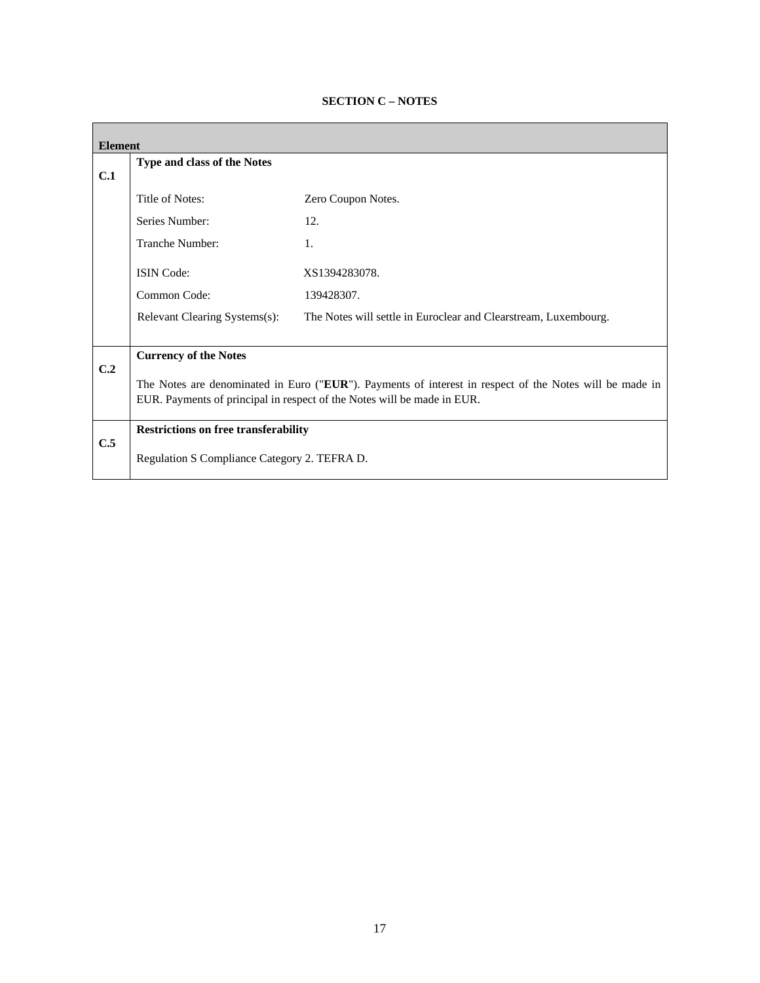| <b>Element</b> |                                                                                                         |                                                                         |  |
|----------------|---------------------------------------------------------------------------------------------------------|-------------------------------------------------------------------------|--|
| C.1            | Type and class of the Notes                                                                             |                                                                         |  |
|                | Title of Notes:                                                                                         | Zero Coupon Notes.                                                      |  |
|                | Series Number:                                                                                          | 12.                                                                     |  |
|                | Tranche Number:                                                                                         | 1.                                                                      |  |
|                | <b>ISIN</b> Code:                                                                                       | XS1394283078.                                                           |  |
|                | Common Code:                                                                                            | 139428307.                                                              |  |
|                | Relevant Clearing Systems(s):                                                                           | The Notes will settle in Euroclear and Clearstream, Luxembourg.         |  |
|                |                                                                                                         |                                                                         |  |
| C.2            | <b>Currency of the Notes</b>                                                                            |                                                                         |  |
|                | The Notes are denominated in Euro ("EUR"). Payments of interest in respect of the Notes will be made in |                                                                         |  |
|                |                                                                                                         | EUR. Payments of principal in respect of the Notes will be made in EUR. |  |
|                | <b>Restrictions on free transferability</b>                                                             |                                                                         |  |
| C.5            | Regulation S Compliance Category 2. TEFRA D.                                                            |                                                                         |  |

# **SECTION C – NOTES**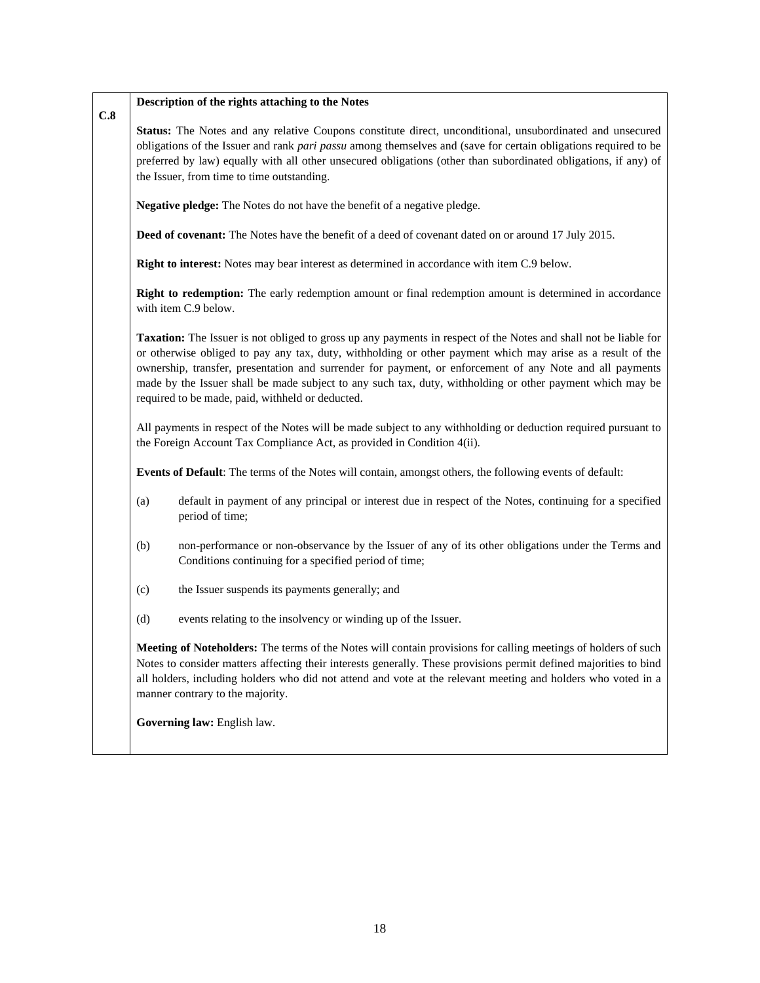#### **C.8 Description of the rights attaching to the Notes**

**Status:** The Notes and any relative Coupons constitute direct, unconditional, unsubordinated and unsecured obligations of the Issuer and rank *pari passu* among themselves and (save for certain obligations required to be preferred by law) equally with all other unsecured obligations (other than subordinated obligations, if any) of the Issuer, from time to time outstanding.

**Negative pledge:** The Notes do not have the benefit of a negative pledge.

**Deed of covenant:** The Notes have the benefit of a deed of covenant dated on or around 17 July 2015.

**Right to interest:** Notes may bear interest as determined in accordance with item C.9 below.

**Right to redemption:** The early redemption amount or final redemption amount is determined in accordance with item C.9 below.

**Taxation:** The Issuer is not obliged to gross up any payments in respect of the Notes and shall not be liable for or otherwise obliged to pay any tax, duty, withholding or other payment which may arise as a result of the ownership, transfer, presentation and surrender for payment, or enforcement of any Note and all payments made by the Issuer shall be made subject to any such tax, duty, withholding or other payment which may be required to be made, paid, withheld or deducted.

All payments in respect of the Notes will be made subject to any withholding or deduction required pursuant to the Foreign Account Tax Compliance Act, as provided in Condition 4(ii).

**Events of Default**: The terms of the Notes will contain, amongst others, the following events of default:

- (a) default in payment of any principal or interest due in respect of the Notes, continuing for a specified period of time;
- (b) non-performance or non-observance by the Issuer of any of its other obligations under the Terms and Conditions continuing for a specified period of time;
- (c) the Issuer suspends its payments generally; and
- (d) events relating to the insolvency or winding up of the Issuer.

**Meeting of Noteholders:** The terms of the Notes will contain provisions for calling meetings of holders of such Notes to consider matters affecting their interests generally. These provisions permit defined majorities to bind all holders, including holders who did not attend and vote at the relevant meeting and holders who voted in a manner contrary to the majority.

**Governing law:** English law.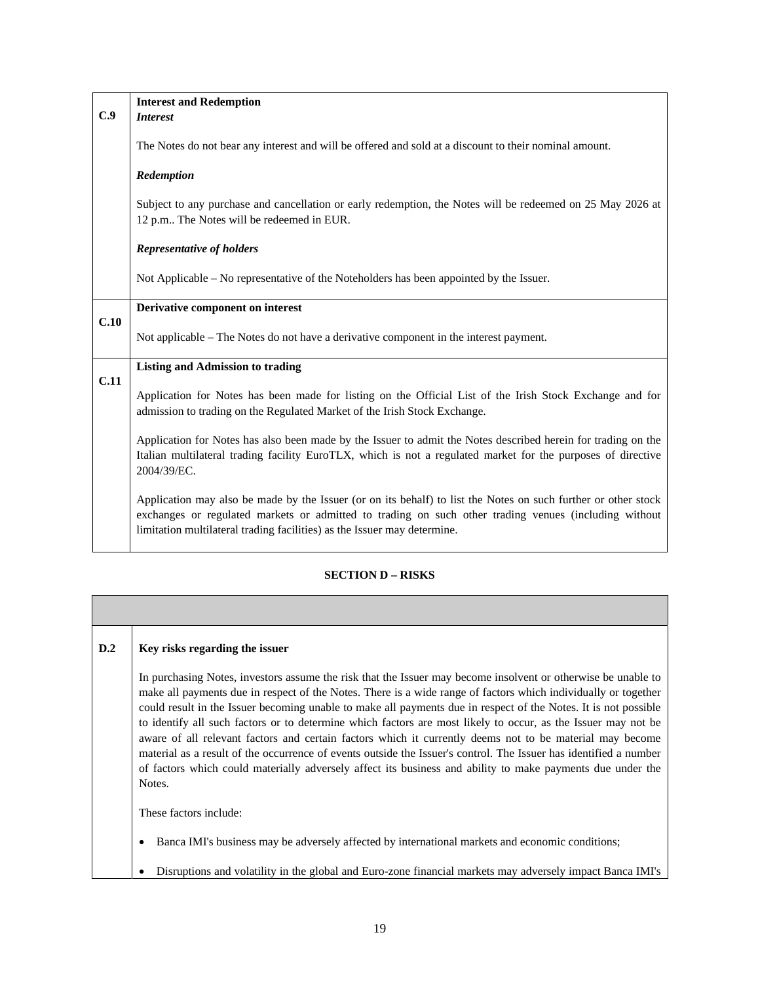|                                         | <b>Interest and Redemption</b>                                                                                                                                                                                                                                                                      |
|-----------------------------------------|-----------------------------------------------------------------------------------------------------------------------------------------------------------------------------------------------------------------------------------------------------------------------------------------------------|
| C.9                                     | <i>Interest</i>                                                                                                                                                                                                                                                                                     |
|                                         | The Notes do not bear any interest and will be offered and sold at a discount to their nominal amount.                                                                                                                                                                                              |
|                                         | Redemption                                                                                                                                                                                                                                                                                          |
|                                         | Subject to any purchase and cancellation or early redemption, the Notes will be redeemed on 25 May 2026 at<br>12 p.m The Notes will be redeemed in EUR.                                                                                                                                             |
|                                         | <b>Representative of holders</b>                                                                                                                                                                                                                                                                    |
|                                         | Not Applicable – No representative of the Noteholders has been appointed by the Issuer.                                                                                                                                                                                                             |
|                                         | Derivative component on interest                                                                                                                                                                                                                                                                    |
| C.10                                    | Not applicable – The Notes do not have a derivative component in the interest payment.                                                                                                                                                                                                              |
| <b>Listing and Admission to trading</b> |                                                                                                                                                                                                                                                                                                     |
| C.11                                    | Application for Notes has been made for listing on the Official List of the Irish Stock Exchange and for<br>admission to trading on the Regulated Market of the Irish Stock Exchange.                                                                                                               |
|                                         | Application for Notes has also been made by the Issuer to admit the Notes described herein for trading on the<br>Italian multilateral trading facility EuroTLX, which is not a regulated market for the purposes of directive<br>2004/39/EC.                                                        |
|                                         | Application may also be made by the Issuer (or on its behalf) to list the Notes on such further or other stock<br>exchanges or regulated markets or admitted to trading on such other trading venues (including without<br>limitation multilateral trading facilities) as the Issuer may determine. |

# **SECTION D – RISKS**

| D.2 | Key risks regarding the issuer                                                                                                                                                                                                                                                                                                                                                                                                                                                                                                                                                                                                                                                                                                                                                                                               |
|-----|------------------------------------------------------------------------------------------------------------------------------------------------------------------------------------------------------------------------------------------------------------------------------------------------------------------------------------------------------------------------------------------------------------------------------------------------------------------------------------------------------------------------------------------------------------------------------------------------------------------------------------------------------------------------------------------------------------------------------------------------------------------------------------------------------------------------------|
|     | In purchasing Notes, investors assume the risk that the Issuer may become insolvent or otherwise be unable to<br>make all payments due in respect of the Notes. There is a wide range of factors which individually or together<br>could result in the Issuer becoming unable to make all payments due in respect of the Notes. It is not possible<br>to identify all such factors or to determine which factors are most likely to occur, as the Issuer may not be<br>aware of all relevant factors and certain factors which it currently deems not to be material may become<br>material as a result of the occurrence of events outside the Issuer's control. The Issuer has identified a number<br>of factors which could materially adversely affect its business and ability to make payments due under the<br>Notes. |
|     | These factors include:                                                                                                                                                                                                                                                                                                                                                                                                                                                                                                                                                                                                                                                                                                                                                                                                       |
|     | Banca IMI's business may be adversely affected by international markets and economic conditions;                                                                                                                                                                                                                                                                                                                                                                                                                                                                                                                                                                                                                                                                                                                             |

Disruptions and volatility in the global and Euro-zone financial markets may adversely impact Banca IMI's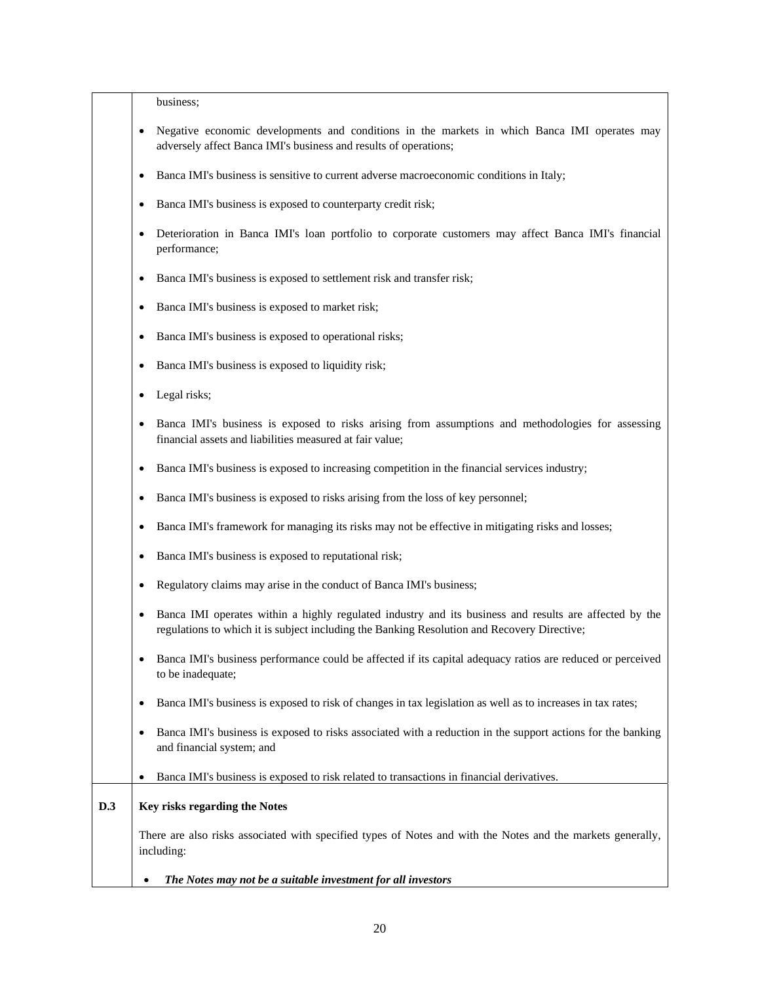business;

- Negative economic developments and conditions in the markets in which Banca IMI operates may adversely affect Banca IMI's business and results of operations;
- Banca IMI's business is sensitive to current adverse macroeconomic conditions in Italy;
- Banca IMI's business is exposed to counterparty credit risk;
- Deterioration in Banca IMI's loan portfolio to corporate customers may affect Banca IMI's financial performance;
- Banca IMI's business is exposed to settlement risk and transfer risk;
- Banca IMI's business is exposed to market risk;
- Banca IMI's business is exposed to operational risks;
- Banca IMI's business is exposed to liquidity risk;
- Legal risks;
- Banca IMI's business is exposed to risks arising from assumptions and methodologies for assessing financial assets and liabilities measured at fair value;
- Banca IMI's business is exposed to increasing competition in the financial services industry;
- Banca IMI's business is exposed to risks arising from the loss of key personnel;
- Banca IMI's framework for managing its risks may not be effective in mitigating risks and losses;
- Banca IMI's business is exposed to reputational risk;
- Regulatory claims may arise in the conduct of Banca IMI's business;
- Banca IMI operates within a highly regulated industry and its business and results are affected by the regulations to which it is subject including the Banking Resolution and Recovery Directive;
- Banca IMI's business performance could be affected if its capital adequacy ratios are reduced or perceived to be inadequate;
- Banca IMI's business is exposed to risk of changes in tax legislation as well as to increases in tax rates;
- Banca IMI's business is exposed to risks associated with a reduction in the support actions for the banking and financial system; and
- Banca IMI's business is exposed to risk related to transactions in financial derivatives.

# **D.3 Key risks regarding the Notes**

There are also risks associated with specified types of Notes and with the Notes and the markets generally, including:

*The Notes may not be a suitable investment for all investors*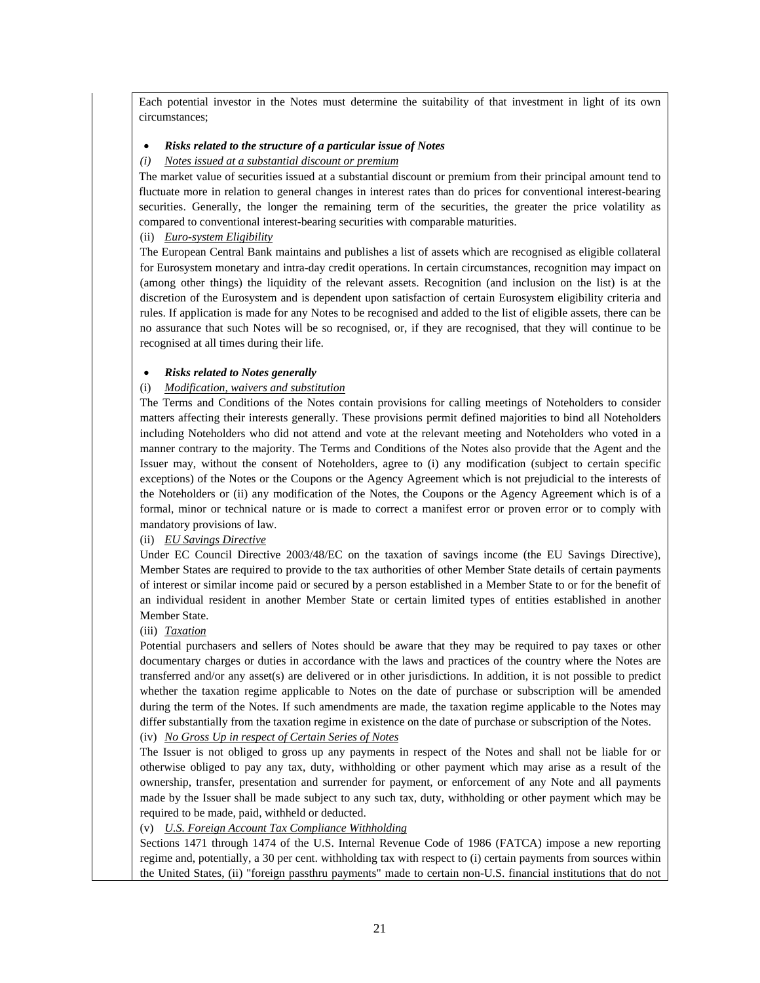Each potential investor in the Notes must determine the suitability of that investment in light of its own circumstances;

### *Risks related to the structure of a particular issue of Notes*

### *(i) Notes issued at a substantial discount or premium*

The market value of securities issued at a substantial discount or premium from their principal amount tend to fluctuate more in relation to general changes in interest rates than do prices for conventional interest-bearing securities. Generally, the longer the remaining term of the securities, the greater the price volatility as compared to conventional interest-bearing securities with comparable maturities.

### (ii) *Euro-system Eligibility*

The European Central Bank maintains and publishes a list of assets which are recognised as eligible collateral for Eurosystem monetary and intra-day credit operations. In certain circumstances, recognition may impact on (among other things) the liquidity of the relevant assets. Recognition (and inclusion on the list) is at the discretion of the Eurosystem and is dependent upon satisfaction of certain Eurosystem eligibility criteria and rules. If application is made for any Notes to be recognised and added to the list of eligible assets, there can be no assurance that such Notes will be so recognised, or, if they are recognised, that they will continue to be recognised at all times during their life.

#### *Risks related to Notes generally*

### (i) *Modification, waivers and substitution*

The Terms and Conditions of the Notes contain provisions for calling meetings of Noteholders to consider matters affecting their interests generally. These provisions permit defined majorities to bind all Noteholders including Noteholders who did not attend and vote at the relevant meeting and Noteholders who voted in a manner contrary to the majority. The Terms and Conditions of the Notes also provide that the Agent and the Issuer may, without the consent of Noteholders, agree to (i) any modification (subject to certain specific exceptions) of the Notes or the Coupons or the Agency Agreement which is not prejudicial to the interests of the Noteholders or (ii) any modification of the Notes, the Coupons or the Agency Agreement which is of a formal, minor or technical nature or is made to correct a manifest error or proven error or to comply with mandatory provisions of law.

### (ii) *EU Savings Directive*

Under EC Council Directive 2003/48/EC on the taxation of savings income (the EU Savings Directive), Member States are required to provide to the tax authorities of other Member State details of certain payments of interest or similar income paid or secured by a person established in a Member State to or for the benefit of an individual resident in another Member State or certain limited types of entities established in another Member State.

#### (iii) *Taxation*

Potential purchasers and sellers of Notes should be aware that they may be required to pay taxes or other documentary charges or duties in accordance with the laws and practices of the country where the Notes are transferred and/or any asset(s) are delivered or in other jurisdictions. In addition, it is not possible to predict whether the taxation regime applicable to Notes on the date of purchase or subscription will be amended during the term of the Notes. If such amendments are made, the taxation regime applicable to the Notes may differ substantially from the taxation regime in existence on the date of purchase or subscription of the Notes.

# (iv) *No Gross Up in respect of Certain Series of Notes*

The Issuer is not obliged to gross up any payments in respect of the Notes and shall not be liable for or otherwise obliged to pay any tax, duty, withholding or other payment which may arise as a result of the ownership, transfer, presentation and surrender for payment, or enforcement of any Note and all payments made by the Issuer shall be made subject to any such tax, duty, withholding or other payment which may be required to be made, paid, withheld or deducted.

### (v) *U.S. Foreign Account Tax Compliance Withholding*

Sections 1471 through 1474 of the U.S. Internal Revenue Code of 1986 (FATCA) impose a new reporting regime and, potentially, a 30 per cent. withholding tax with respect to (i) certain payments from sources within the United States, (ii) "foreign passthru payments" made to certain non-U.S. financial institutions that do not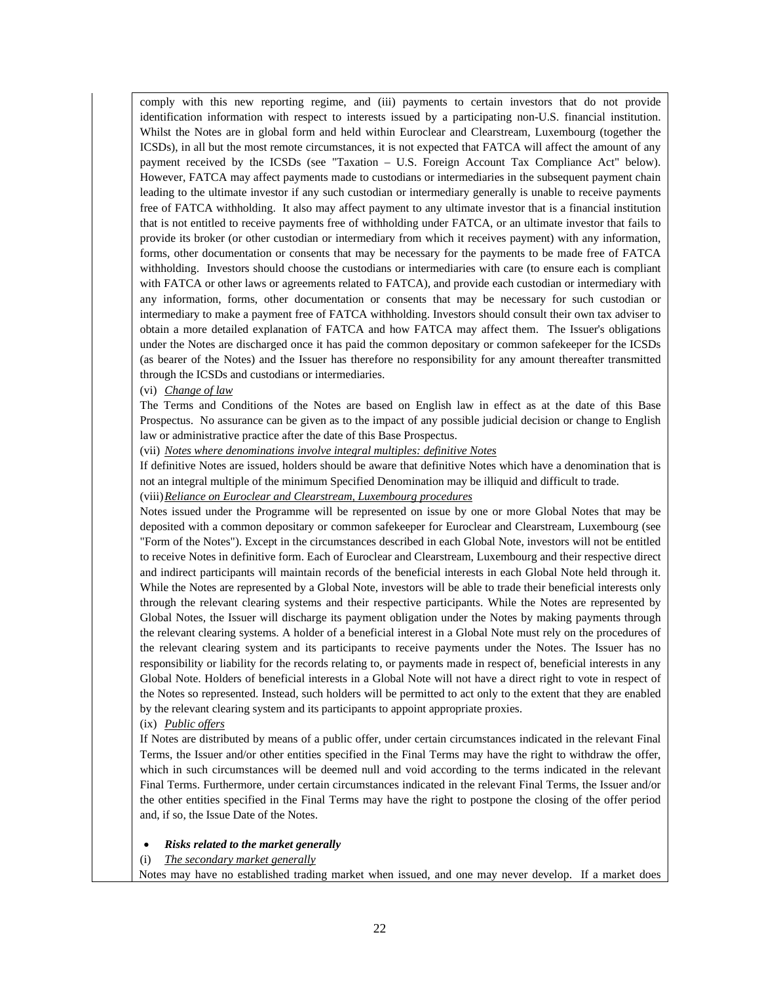comply with this new reporting regime, and (iii) payments to certain investors that do not provide identification information with respect to interests issued by a participating non-U.S. financial institution. Whilst the Notes are in global form and held within Euroclear and Clearstream, Luxembourg (together the ICSDs), in all but the most remote circumstances, it is not expected that FATCA will affect the amount of any payment received by the ICSDs (see "Taxation – U.S. Foreign Account Tax Compliance Act" below). However, FATCA may affect payments made to custodians or intermediaries in the subsequent payment chain leading to the ultimate investor if any such custodian or intermediary generally is unable to receive payments free of FATCA withholding. It also may affect payment to any ultimate investor that is a financial institution that is not entitled to receive payments free of withholding under FATCA, or an ultimate investor that fails to provide its broker (or other custodian or intermediary from which it receives payment) with any information, forms, other documentation or consents that may be necessary for the payments to be made free of FATCA withholding. Investors should choose the custodians or intermediaries with care (to ensure each is compliant with FATCA or other laws or agreements related to FATCA), and provide each custodian or intermediary with any information, forms, other documentation or consents that may be necessary for such custodian or intermediary to make a payment free of FATCA withholding. Investors should consult their own tax adviser to obtain a more detailed explanation of FATCA and how FATCA may affect them. The Issuer's obligations under the Notes are discharged once it has paid the common depositary or common safekeeper for the ICSDs (as bearer of the Notes) and the Issuer has therefore no responsibility for any amount thereafter transmitted through the ICSDs and custodians or intermediaries.

(vi) *Change of law*

The Terms and Conditions of the Notes are based on English law in effect as at the date of this Base Prospectus. No assurance can be given as to the impact of any possible judicial decision or change to English law or administrative practice after the date of this Base Prospectus.

(vii) *Notes where denominations involve integral multiples: definitive Notes*

If definitive Notes are issued, holders should be aware that definitive Notes which have a denomination that is not an integral multiple of the minimum Specified Denomination may be illiquid and difficult to trade.

(viii)*Reliance on Euroclear and Clearstream, Luxembourg procedures*

Notes issued under the Programme will be represented on issue by one or more Global Notes that may be deposited with a common depositary or common safekeeper for Euroclear and Clearstream, Luxembourg (see "Form of the Notes"). Except in the circumstances described in each Global Note, investors will not be entitled to receive Notes in definitive form. Each of Euroclear and Clearstream, Luxembourg and their respective direct and indirect participants will maintain records of the beneficial interests in each Global Note held through it. While the Notes are represented by a Global Note, investors will be able to trade their beneficial interests only through the relevant clearing systems and their respective participants. While the Notes are represented by Global Notes, the Issuer will discharge its payment obligation under the Notes by making payments through the relevant clearing systems. A holder of a beneficial interest in a Global Note must rely on the procedures of the relevant clearing system and its participants to receive payments under the Notes. The Issuer has no responsibility or liability for the records relating to, or payments made in respect of, beneficial interests in any Global Note. Holders of beneficial interests in a Global Note will not have a direct right to vote in respect of the Notes so represented. Instead, such holders will be permitted to act only to the extent that they are enabled by the relevant clearing system and its participants to appoint appropriate proxies.

(ix) *Public offers*

If Notes are distributed by means of a public offer, under certain circumstances indicated in the relevant Final Terms, the Issuer and/or other entities specified in the Final Terms may have the right to withdraw the offer, which in such circumstances will be deemed null and void according to the terms indicated in the relevant Final Terms. Furthermore, under certain circumstances indicated in the relevant Final Terms, the Issuer and/or the other entities specified in the Final Terms may have the right to postpone the closing of the offer period and, if so, the Issue Date of the Notes.

### *Risks related to the market generally*

(i) *The secondary market generally*

Notes may have no established trading market when issued, and one may never develop. If a market does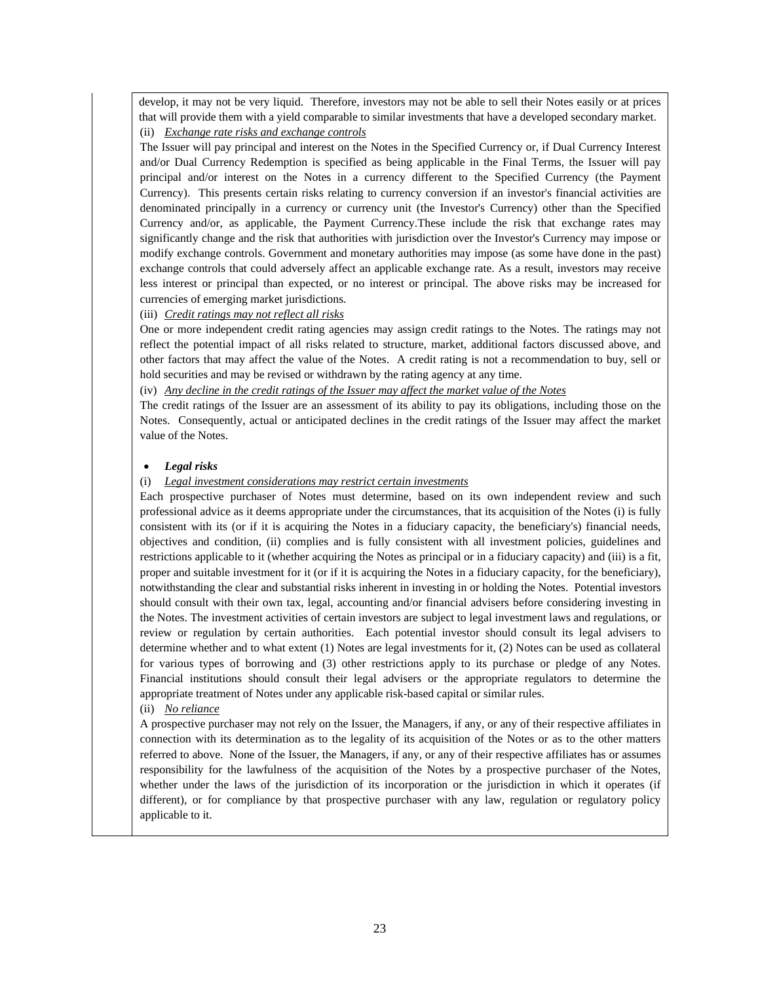develop, it may not be very liquid. Therefore, investors may not be able to sell their Notes easily or at prices that will provide them with a yield comparable to similar investments that have a developed secondary market. (ii) *Exchange rate risks and exchange controls*

The Issuer will pay principal and interest on the Notes in the Specified Currency or, if Dual Currency Interest and/or Dual Currency Redemption is specified as being applicable in the Final Terms, the Issuer will pay principal and/or interest on the Notes in a currency different to the Specified Currency (the Payment Currency). This presents certain risks relating to currency conversion if an investor's financial activities are denominated principally in a currency or currency unit (the Investor's Currency) other than the Specified Currency and/or, as applicable, the Payment Currency.These include the risk that exchange rates may significantly change and the risk that authorities with jurisdiction over the Investor's Currency may impose or modify exchange controls. Government and monetary authorities may impose (as some have done in the past) exchange controls that could adversely affect an applicable exchange rate. As a result, investors may receive less interest or principal than expected, or no interest or principal. The above risks may be increased for currencies of emerging market jurisdictions.

### (iii) *Credit ratings may not reflect all risks*

One or more independent credit rating agencies may assign credit ratings to the Notes. The ratings may not reflect the potential impact of all risks related to structure, market, additional factors discussed above, and other factors that may affect the value of the Notes. A credit rating is not a recommendation to buy, sell or hold securities and may be revised or withdrawn by the rating agency at any time.

(iv) *Any decline in the credit ratings of the Issuer may affect the market value of the Notes*

The credit ratings of the Issuer are an assessment of its ability to pay its obligations, including those on the Notes. Consequently, actual or anticipated declines in the credit ratings of the Issuer may affect the market value of the Notes.

### *Legal risks*

### (i) *Legal investment considerations may restrict certain investments*

Each prospective purchaser of Notes must determine, based on its own independent review and such professional advice as it deems appropriate under the circumstances, that its acquisition of the Notes (i) is fully consistent with its (or if it is acquiring the Notes in a fiduciary capacity, the beneficiary's) financial needs, objectives and condition, (ii) complies and is fully consistent with all investment policies, guidelines and restrictions applicable to it (whether acquiring the Notes as principal or in a fiduciary capacity) and (iii) is a fit, proper and suitable investment for it (or if it is acquiring the Notes in a fiduciary capacity, for the beneficiary), notwithstanding the clear and substantial risks inherent in investing in or holding the Notes. Potential investors should consult with their own tax, legal, accounting and/or financial advisers before considering investing in the Notes. The investment activities of certain investors are subject to legal investment laws and regulations, or review or regulation by certain authorities. Each potential investor should consult its legal advisers to determine whether and to what extent (1) Notes are legal investments for it, (2) Notes can be used as collateral for various types of borrowing and (3) other restrictions apply to its purchase or pledge of any Notes. Financial institutions should consult their legal advisers or the appropriate regulators to determine the appropriate treatment of Notes under any applicable risk-based capital or similar rules.

### (ii) *No reliance*

A prospective purchaser may not rely on the Issuer, the Managers, if any, or any of their respective affiliates in connection with its determination as to the legality of its acquisition of the Notes or as to the other matters referred to above. None of the Issuer, the Managers, if any, or any of their respective affiliates has or assumes responsibility for the lawfulness of the acquisition of the Notes by a prospective purchaser of the Notes, whether under the laws of the jurisdiction of its incorporation or the jurisdiction in which it operates (if different), or for compliance by that prospective purchaser with any law, regulation or regulatory policy applicable to it.